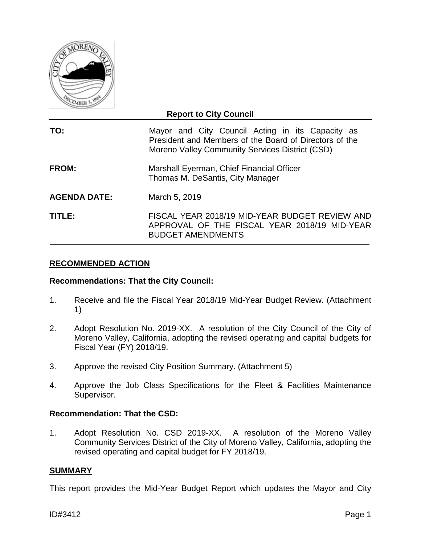

## **Report to City Council**

| TO:          | Mayor and City Council Acting in its Capacity as<br>President and Members of the Board of Directors of the<br>Moreno Valley Community Services District (CSD) |
|--------------|---------------------------------------------------------------------------------------------------------------------------------------------------------------|
| <b>FROM:</b> | Marshall Eyerman, Chief Financial Officer<br>Thomas M. DeSantis, City Manager                                                                                 |

**AGENDA DATE:** March 5, 2019

**TITLE:** FISCAL YEAR 2018/19 MID-YEAR BUDGET REVIEW AND APPROVAL OF THE FISCAL YEAR 2018/19 MID-YEAR BUDGET AMENDMENTS

## **RECOMMENDED ACTION**

## **Recommendations: That the City Council:**

- 1. Receive and file the Fiscal Year 2018/19 Mid-Year Budget Review. (Attachment 1)
- 2. Adopt Resolution No. 2019-XX. A resolution of the City Council of the City of Moreno Valley, California, adopting the revised operating and capital budgets for Fiscal Year (FY) 2018/19.
- 3. Approve the revised City Position Summary. (Attachment 5)
- 4. Approve the Job Class Specifications for the Fleet & Facilities Maintenance Supervisor.

## **Recommendation: That the CSD:**

1. Adopt Resolution No. CSD 2019-XX. A resolution of the Moreno Valley Community Services District of the City of Moreno Valley, California, adopting the revised operating and capital budget for FY 2018/19.

#### **SUMMARY**

This report provides the Mid-Year Budget Report which updates the Mayor and City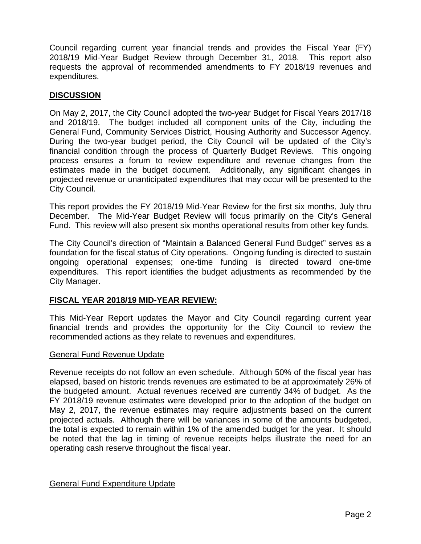Council regarding current year financial trends and provides the Fiscal Year (FY) 2018/19 Mid-Year Budget Review through December 31, 2018. This report also requests the approval of recommended amendments to FY 2018/19 revenues and expenditures.

## **DISCUSSION**

On May 2, 2017, the City Council adopted the two-year Budget for Fiscal Years 2017/18 and 2018/19. The budget included all component units of the City, including the General Fund, Community Services District, Housing Authority and Successor Agency. During the two-year budget period, the City Council will be updated of the City's financial condition through the process of Quarterly Budget Reviews. This ongoing process ensures a forum to review expenditure and revenue changes from the estimates made in the budget document. Additionally, any significant changes in projected revenue or unanticipated expenditures that may occur will be presented to the City Council.

This report provides the FY 2018/19 Mid-Year Review for the first six months, July thru December. The Mid-Year Budget Review will focus primarily on the City's General Fund. This review will also present six months operational results from other key funds.

The City Council's direction of "Maintain a Balanced General Fund Budget" serves as a foundation for the fiscal status of City operations. Ongoing funding is directed to sustain ongoing operational expenses; one-time funding is directed toward one-time expenditures. This report identifies the budget adjustments as recommended by the City Manager.

## **FISCAL YEAR 2018/19 MID-YEAR REVIEW:**

This Mid-Year Report updates the Mayor and City Council regarding current year financial trends and provides the opportunity for the City Council to review the recommended actions as they relate to revenues and expenditures.

## General Fund Revenue Update

Revenue receipts do not follow an even schedule. Although 50% of the fiscal year has elapsed, based on historic trends revenues are estimated to be at approximately 26% of the budgeted amount. Actual revenues received are currently 34% of budget. As the FY 2018/19 revenue estimates were developed prior to the adoption of the budget on May 2, 2017, the revenue estimates may require adjustments based on the current projected actuals. Although there will be variances in some of the amounts budgeted, the total is expected to remain within 1% of the amended budget for the year. It should be noted that the lag in timing of revenue receipts helps illustrate the need for an operating cash reserve throughout the fiscal year.

## General Fund Expenditure Update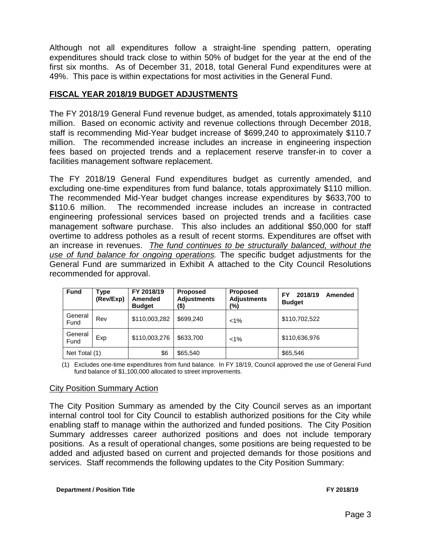Although not all expenditures follow a straight-line spending pattern, operating expenditures should track close to within 50% of budget for the year at the end of the first six months. As of December 31, 2018, total General Fund expenditures were at 49%. This pace is within expectations for most activities in the General Fund.

## **FISCAL YEAR 2018/19 BUDGET ADJUSTMENTS**

The FY 2018/19 General Fund revenue budget, as amended, totals approximately \$110 million. Based on economic activity and revenue collections through December 2018, staff is recommending Mid-Year budget increase of \$699,240 to approximately \$110.7 million. The recommended increase includes an increase in engineering inspection fees based on projected trends and a replacement reserve transfer-in to cover a facilities management software replacement.

The FY 2018/19 General Fund expenditures budget as currently amended, and excluding one-time expenditures from fund balance, totals approximately \$110 million. The recommended Mid-Year budget changes increase expenditures by \$633,700 to \$110.6 million. The recommended increase includes an increase in contracted engineering professional services based on projected trends and a facilities case management software purchase. This also includes an additional \$50,000 for staff overtime to address potholes as a result of recent storms. Expenditures are offset with an increase in revenues. *The fund continues to be structurally balanced, without the use of fund balance for ongoing operations.* The specific budget adjustments for the General Fund are summarized in Exhibit A attached to the City Council Resolutions recommended for approval.

| <b>Fund</b>     | Type<br>(Rev/Exp) | FY 2018/19<br>Amended<br><b>Budget</b> | <b>Proposed</b><br><b>Adjustments</b><br>(\$) | <b>Proposed</b><br><b>Adjustments</b><br>(%) | 2018/19<br>FY<br>Amended<br><b>Budget</b> |
|-----------------|-------------------|----------------------------------------|-----------------------------------------------|----------------------------------------------|-------------------------------------------|
| General<br>Fund | Rev               | \$110,003,282                          | \$699,240                                     | $< 1\%$                                      | \$110,702,522                             |
| General<br>Fund | Exp               | \$110,003,276                          | \$633,700                                     | $< 1\%$                                      | \$110,636,976                             |
| Net Total (1)   |                   | \$6                                    | \$65,540                                      |                                              | \$65,546                                  |

(1) Excludes one-time expenditures from fund balance. In FY 18/19, Council approved the use of General Fund fund balance of \$1,100,000 allocated to street improvements.

## City Position Summary Action

The City Position Summary as amended by the City Council serves as an important internal control tool for City Council to establish authorized positions for the City while enabling staff to manage within the authorized and funded positions. The City Position Summary addresses career authorized positions and does not include temporary positions. As a result of operational changes, some positions are being requested to be added and adjusted based on current and projected demands for those positions and services. Staff recommends the following updates to the City Position Summary: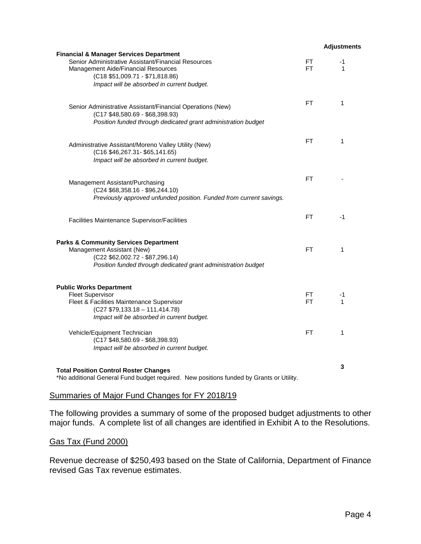|                                                                                                                                                                                                                                   |           | <b>Adjustments</b> |
|-----------------------------------------------------------------------------------------------------------------------------------------------------------------------------------------------------------------------------------|-----------|--------------------|
| <b>Financial &amp; Manager Services Department</b><br>Senior Administrative Assistant/Financial Resources<br>Management Aide/Financial Resources<br>$(C18 $51,009.71 - $71,818.86)$<br>Impact will be absorbed in current budget. | FT<br>FT  | $-1$<br>1          |
| Senior Administrative Assistant/Financial Operations (New)<br>(C17 \$48,580.69 - \$68,398.93)<br>Position funded through dedicated grant administration budget                                                                    | FT.       | 1                  |
| Administrative Assistant/Moreno Valley Utility (New)<br>(C16 \$46,267.31- \$65,141.65)<br>Impact will be absorbed in current budget.                                                                                              | FT.       | 1                  |
| Management Assistant/Purchasing<br>$(C24 $68,358.16 - $96,244.10)$<br>Previously approved unfunded position. Funded from current savings.                                                                                         | FT        |                    |
| Facilities Maintenance Supervisor/Facilities                                                                                                                                                                                      | FT.       | -1                 |
| <b>Parks &amp; Community Services Department</b><br>Management Assistant (New)<br>(C22 \$62,002.72 - \$87,296.14)<br>Position funded through dedicated grant administration budget                                                | FT.       | 1                  |
| <b>Public Works Department</b><br><b>Fleet Supervisor</b><br>Fleet & Facilities Maintenance Supervisor<br>$(C27 $79,133.18 - 111,414.78)$<br>Impact will be absorbed in current budget.                                           | FT<br>FT. | -1<br>1            |
| Vehicle/Equipment Technician<br>(C17 \$48,580.69 - \$68,398.93)<br>Impact will be absorbed in current budget.                                                                                                                     | FT        | 1                  |
| <b>Total Position Control Roster Changes</b><br>*No additional General Fund budget required. New positions funded by Grants or Utility.                                                                                           |           | 3                  |

## Summaries of Major Fund Changes for FY 2018/19

The following provides a summary of some of the proposed budget adjustments to other major funds. A complete list of all changes are identified in Exhibit A to the Resolutions.

## Gas Tax (Fund 2000)

Revenue decrease of \$250,493 based on the State of California, Department of Finance revised Gas Tax revenue estimates.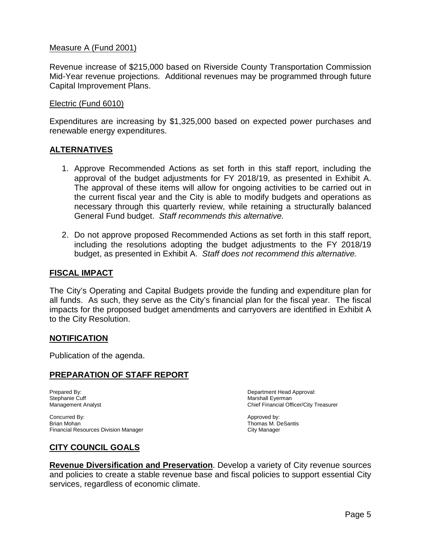## Measure A (Fund 2001)

Revenue increase of \$215,000 based on Riverside County Transportation Commission Mid-Year revenue projections. Additional revenues may be programmed through future Capital Improvement Plans.

#### Electric (Fund 6010)

Expenditures are increasing by \$1,325,000 based on expected power purchases and renewable energy expenditures.

#### **ALTERNATIVES**

- 1. Approve Recommended Actions as set forth in this staff report, including the approval of the budget adjustments for FY 2018/19, as presented in Exhibit A. The approval of these items will allow for ongoing activities to be carried out in the current fiscal year and the City is able to modify budgets and operations as necessary through this quarterly review, while retaining a structurally balanced General Fund budget. *Staff recommends this alternative.*
- 2. Do not approve proposed Recommended Actions as set forth in this staff report, including the resolutions adopting the budget adjustments to the FY 2018/19 budget, as presented in Exhibit A. *Staff does not recommend this alternative.*

#### **FISCAL IMPACT**

The City's Operating and Capital Budgets provide the funding and expenditure plan for all funds. As such, they serve as the City's financial plan for the fiscal year. The fiscal impacts for the proposed budget amendments and carryovers are identified in Exhibit A to the City Resolution.

#### **NOTIFICATION**

Publication of the agenda.

## **PREPARATION OF STAFF REPORT**

Stephanie Cuff and the Current of the Current of the Current of the Marshall Eyerman<br>
Management Analyst and the Current of the Chief Financial Off and the Marshall Eyerman

Prepared By: Department Head Approval: Chief Financial Officer/City Treasurer

Concurred By: Concurred By: Approved by: Approved by: Approved by: Approved by: Approved by: Approved by: Approved by: Approved by: Approved by: Approved by: Approved by: Approved by: Approved by: Approved by: Approved by: Financial Resources Division Manager

Thomas M. DeSantis<br>City Manager

## **CITY COUNCIL GOALS**

**Revenue Diversification and Preservation**. Develop a variety of City revenue sources and policies to create a stable revenue base and fiscal policies to support essential City services, regardless of economic climate.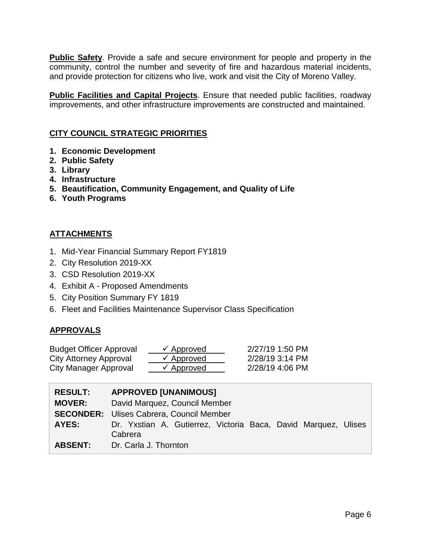**Public Safety**. Provide a safe and secure environment for people and property in the community, control the number and severity of fire and hazardous material incidents, and provide protection for citizens who live, work and visit the City of Moreno Valley.

**Public Facilities and Capital Projects**. Ensure that needed public facilities, roadway improvements, and other infrastructure improvements are constructed and maintained.

# **CITY COUNCIL STRATEGIC PRIORITIES**

- **1. Economic Development**
- **2. Public Safety**
- **3. Library**
- **4. Infrastructure**
- **5. Beautification, Community Engagement, and Quality of Life**
- **6. Youth Programs**

## **ATTACHMENTS**

- 1. Mid-Year Financial Summary Report FY1819
- 2. City Resolution 2019-XX
- 3. CSD Resolution 2019-XX
- 4. Exhibit A Proposed Amendments
- 5. City Position Summary FY 1819
- 6. Fleet and Facilities Maintenance Supervisor Class Specification

## **APPROVALS**

| <b>Budget Officer Approval</b> | $\checkmark$ Approved | 2/27/19 1:50 PM |
|--------------------------------|-----------------------|-----------------|
| City Attorney Approval         | $\checkmark$ Approved | 2/28/19 3:14 PM |
| City Manager Approval          | $\checkmark$ Approved | 2/28/19 4:06 PM |

| <b>RESULT:</b> | <b>APPROVED [UNANIMOUS]</b>                                               |  |  |  |  |  |  |
|----------------|---------------------------------------------------------------------------|--|--|--|--|--|--|
| <b>MOVER:</b>  | David Marquez, Council Member                                             |  |  |  |  |  |  |
|                | <b>SECONDER:</b> Ulises Cabrera, Council Member                           |  |  |  |  |  |  |
| AYES:          | Dr. Yxstian A. Gutierrez, Victoria Baca, David Marquez, Ulises<br>Cabrera |  |  |  |  |  |  |
| <b>ABSENT:</b> | Dr. Carla J. Thornton                                                     |  |  |  |  |  |  |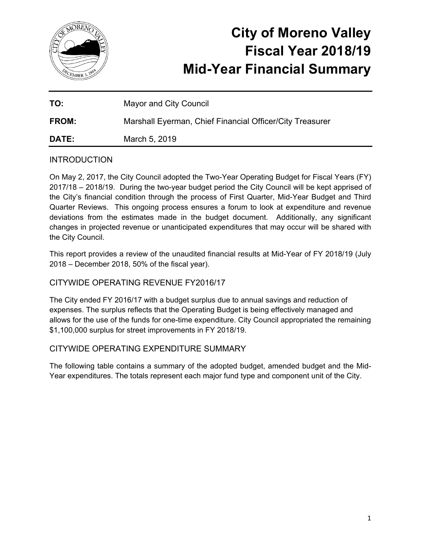

# **City of Moreno Valley Fiscal Year 2018/19 Mid-Year Financial Summary**

| TO:          | <b>Mayor and City Council</b>                            |
|--------------|----------------------------------------------------------|
| <b>FROM:</b> | Marshall Everman, Chief Financial Officer/City Treasurer |
| <b>DATE:</b> | March 5, 2019                                            |

# **INTRODUCTION**

On May 2, 2017, the City Council adopted the Two-Year Operating Budget for Fiscal Years (FY) 2017/18 – 2018/19. During the two-year budget period the City Council will be kept apprised of the City's financial condition through the process of First Quarter, Mid-Year Budget and Third Quarter Reviews. This ongoing process ensures a forum to look at expenditure and revenue deviations from the estimates made in the budget document. Additionally, any significant changes in projected revenue or unanticipated expenditures that may occur will be shared with the City Council.

This report provides a review of the unaudited financial results at Mid-Year of FY 2018/19 (July 2018 – December 2018, 50% of the fiscal year).

# CITYWIDE OPERATING REVENUE FY2016/17

The City ended FY 2016/17 with a budget surplus due to annual savings and reduction of expenses. The surplus reflects that the Operating Budget is being effectively managed and allows for the use of the funds for one-time expenditure. City Council appropriated the remaining \$1,100,000 surplus for street improvements in FY 2018/19.

# CITYWIDE OPERATING EXPENDITURE SUMMARY

The following table contains a summary of the adopted budget, amended budget and the Mid-Year expenditures. The totals represent each major fund type and component unit of the City.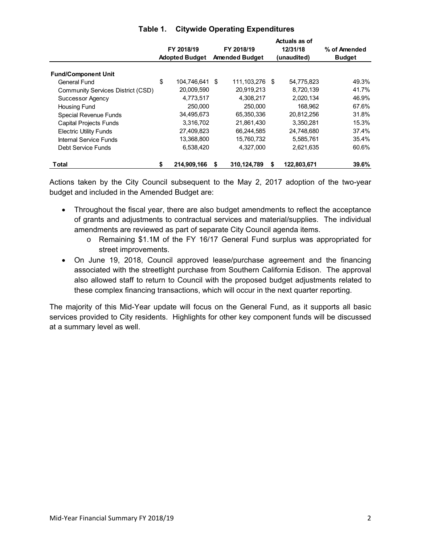|                                   |                       |             |                       |                |    | Actuals as of |               |  |
|-----------------------------------|-----------------------|-------------|-----------------------|----------------|----|---------------|---------------|--|
|                                   |                       | FY 2018/19  |                       | FY 2018/19     |    | 12/31/18      | % of Amended  |  |
|                                   | <b>Adopted Budget</b> |             | <b>Amended Budget</b> |                |    | (unaudited)   | <b>Budget</b> |  |
| <b>Fund/Component Unit</b>        |                       |             |                       |                |    |               |               |  |
| General Fund                      | \$                    | 104.746.641 | \$                    | 111,103,276 \$ |    | 54,775,823    | 49.3%         |  |
| Community Services District (CSD) |                       | 20,009,590  |                       | 20.919.213     |    | 8.720.139     | 41.7%         |  |
| <b>Successor Agency</b>           |                       | 4,773,517   |                       | 4,308,217      |    | 2,020,134     | 46.9%         |  |
| Housing Fund                      |                       | 250,000     |                       | 250,000        |    | 168,962       | 67.6%         |  |
| <b>Special Revenue Funds</b>      |                       | 34,495,673  |                       | 65,350,336     |    | 20,812,256    | 31.8%         |  |
| <b>Capital Projects Funds</b>     |                       | 3,316,702   |                       | 21,861,430     |    | 3,350,281     | 15.3%         |  |
| <b>Electric Utility Funds</b>     |                       | 27,409,823  |                       | 66,244,585     |    | 24,748,680    | 37.4%         |  |
| <b>Internal Service Funds</b>     |                       | 13,368,800  |                       | 15,760,732     |    | 5,585,761     | 35.4%         |  |
| Debt Service Funds                |                       | 6,538,420   |                       | 4,327,000      |    | 2,621,635     | 60.6%         |  |
| <b>Total</b>                      | \$                    | 214,909,166 | \$                    | 310,124,789    | \$ | 122,803,671   | 39.6%         |  |

## **Table 1. Citywide Operating Expenditures**

Actions taken by the City Council subsequent to the May 2, 2017 adoption of the two-year budget and included in the Amended Budget are:

- Throughout the fiscal year, there are also budget amendments to reflect the acceptance of grants and adjustments to contractual services and material/supplies. The individual amendments are reviewed as part of separate City Council agenda items.
	- o Remaining \$1.1M of the FY 16/17 General Fund surplus was appropriated for street improvements.
- On June 19, 2018, Council approved lease/purchase agreement and the financing associated with the streetlight purchase from Southern California Edison. The approval also allowed staff to return to Council with the proposed budget adjustments related to these complex financing transactions, which will occur in the next quarter reporting.

The majority of this Mid-Year update will focus on the General Fund, as it supports all basic services provided to City residents. Highlights for other key component funds will be discussed at a summary level as well.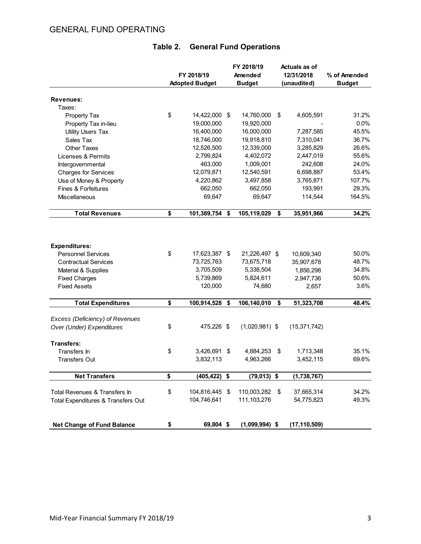# GENERAL FUND OPERATING

|                                    | FY 2018/19<br><b>Adopted Budget</b> |                | FY 2018/19<br>Amended<br><b>Budget</b> | Actuals as of<br>12/31/2018<br>(unaudited) | % of Amended<br><b>Budget</b> |
|------------------------------------|-------------------------------------|----------------|----------------------------------------|--------------------------------------------|-------------------------------|
|                                    |                                     |                |                                        |                                            |                               |
| Revenues:                          |                                     |                |                                        |                                            |                               |
| Taxes:                             |                                     |                |                                        |                                            |                               |
| Property Tax                       | \$                                  | 14,422,000 \$  | 14,760,000                             | \$<br>4,605,591                            | 31.2%                         |
| Property Tax in-lieu               |                                     | 19,000,000     | 19,920,000                             |                                            | 0.0%                          |
| <b>Utility Users Tax</b>           |                                     | 16,400,000     | 16,000,000                             | 7,287,585                                  | 45.5%                         |
| Sales Tax                          |                                     | 18,746,000     | 19,918,810                             | 7,310,041                                  | 36.7%                         |
| <b>Other Taxes</b>                 |                                     | 12,526,500     | 12,339,000                             | 3,285,829                                  | 26.6%                         |
| Licenses & Permits                 |                                     | 2,799,824      | 4,402,072                              | 2,447,019                                  | 55.6%                         |
| Intergovernmental                  |                                     | 463,000        | 1,009,001                              | 242,608                                    | 24.0%                         |
| <b>Charges for Services</b>        |                                     | 12,079,871     | 12,540,591                             | 6,698,887                                  | 53.4%                         |
| Use of Money & Property            |                                     | 4,220,862      | 3,497,858                              | 3,765,871                                  | 107.7%                        |
| Fines & Forfeitures                |                                     | 662,050        | 662,050                                | 193,991                                    | 29.3%                         |
| <b>Miscellaneous</b>               |                                     | 69,647         | 69,647                                 | 114,544                                    | 164.5%                        |
| <b>Total Revenues</b>              | \$                                  | 101,389,754    | \$<br>105,119,029                      | \$<br>35,951,966                           | 34.2%                         |
|                                    |                                     |                |                                        |                                            |                               |
| <b>Expenditures:</b>               |                                     |                |                                        |                                            |                               |
| <b>Personnel Services</b>          | \$                                  | 17,623,387 \$  | 21,226,497 \$                          | 10,609,340                                 | 50.0%                         |
| <b>Contractual Services</b>        |                                     | 73,725,763     | 73,675,718                             | 35,907,678                                 | 48.7%                         |
| Material & Supplies                |                                     | 3,705,509      | 5,338,504                              | 1,856,298                                  | 34.8%                         |
| <b>Fixed Charges</b>               |                                     | 5,739,869      | 5,824,611                              | 2,947,736                                  | 50.6%                         |
| <b>Fixed Assets</b>                |                                     | 120,000        | 74,680                                 | 2,657                                      | 3.6%                          |
| <b>Total Expenditures</b>          | \$                                  | 100,914,528 \$ | 106,140,010                            | \$<br>51,323,708                           | 48.4%                         |
| Excess (Deficiency) of Revenues    |                                     |                |                                        |                                            |                               |
| Over (Under) Expenditures          | \$                                  | 475,226 \$     | $(1,020,981)$ \$                       | (15, 371, 742)                             |                               |
| <b>Transfers:</b>                  |                                     |                |                                        |                                            |                               |
| Transfers In                       | \$                                  | 3,426,691 \$   | 4,884,253                              | \$<br>1,713,348                            | 35.1%                         |
| <b>Transfers Out</b>               |                                     | 3,832,113      | 4,963,266                              | 3,452,115                                  | 69.6%                         |
| <b>Net Transfers</b>               | \$                                  | (405,422)      | \$<br>$(79,013)$ \$                    | (1,738,767)                                |                               |
| Total Revenues & Transfers In      | \$                                  | 104,816,445 \$ | 110,003,282                            | \$<br>37,665,314                           | 34.2%                         |
| Total Expenditures & Transfers Out |                                     | 104,746,641    | 111,103,276                            | 54,775,823                                 | 49.3%                         |
| <b>Net Change of Fund Balance</b>  | \$                                  | 69,804 \$      | $(1,099,994)$ \$                       | (17, 110, 509)                             |                               |

# **Table 2. General Fund Operations**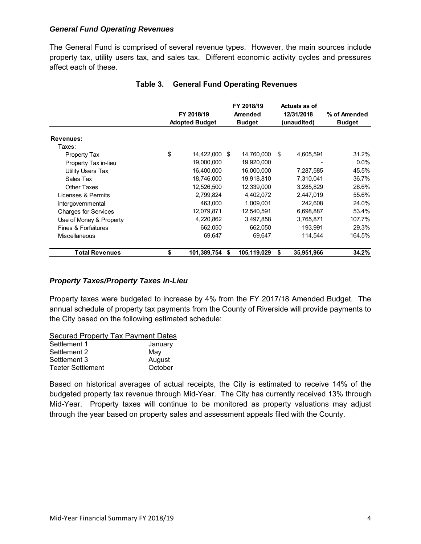#### *General Fund Operating Revenues*

The General Fund is comprised of several revenue types. However, the main sources include property tax, utility users tax, and sales tax. Different economic activity cycles and pressures affect each of these.

|                             | FY 2018/19<br><b>Adopted Budget</b> |  | FY 2018/19<br>Amended<br><b>Budget</b> |    | Actuals as of<br>12/31/2018<br>(unaudited) | % of Amended<br><b>Budget</b> |
|-----------------------------|-------------------------------------|--|----------------------------------------|----|--------------------------------------------|-------------------------------|
| Revenues:                   |                                     |  |                                        |    |                                            |                               |
| Taxes:                      |                                     |  |                                        |    |                                            |                               |
| Property Tax                | \$<br>14,422,000 \$                 |  | 14,760,000                             | \$ | 4,605,591                                  | 31.2%                         |
| Property Tax in-lieu        | 19.000.000                          |  | 19.920.000                             |    |                                            | $0.0\%$                       |
| Utility Users Tax           | 16,400,000                          |  | 16,000,000                             |    | 7,287,585                                  | 45.5%                         |
| Sales Tax                   | 18,746,000                          |  | 19,918,810                             |    | 7,310,041                                  | 36.7%                         |
| Other Taxes                 | 12,526,500                          |  | 12,339,000                             |    | 3,285,829                                  | 26.6%                         |
| Licenses & Permits          | 2,799,824                           |  | 4,402,072                              |    | 2,447,019                                  | 55.6%                         |
| Intergovernmental           | 463,000                             |  | 1,009,001                              |    | 242,608                                    | 24.0%                         |
| <b>Charges for Services</b> | 12,079,871                          |  | 12,540,591                             |    | 6,698,887                                  | 53.4%                         |
| Use of Money & Property     | 4,220,862                           |  | 3,497,858                              |    | 3,765,871                                  | 107.7%                        |
| Fines & Forfeitures         | 662.050                             |  | 662.050                                |    | 193,991                                    | 29.3%                         |
| <b>Miscellaneous</b>        | 69,647                              |  | 69,647                                 |    | 114,544                                    | 164.5%                        |
| <b>Total Revenues</b>       | \$<br>101,389,754                   |  | 105,119,029                            | S  | 35,951,966                                 | 34.2%                         |

#### **Table 3. General Fund Operating Revenues**

#### *Property Taxes/Property Taxes In-Lieu*

Property taxes were budgeted to increase by 4% from the FY 2017/18 Amended Budget. The annual schedule of property tax payments from the County of Riverside will provide payments to the City based on the following estimated schedule:

| <b>Secured Property Tax Payment Dates</b> |         |
|-------------------------------------------|---------|
| Settlement 1                              | January |
| Settlement 2                              | May     |
| Settlement 3                              | August  |
| <b>Teeter Settlement</b>                  | October |

Based on historical averages of actual receipts, the City is estimated to receive 14% of the budgeted property tax revenue through Mid-Year. The City has currently received 13% through Mid-Year. Property taxes will continue to be monitored as property valuations may adjust through the year based on property sales and assessment appeals filed with the County.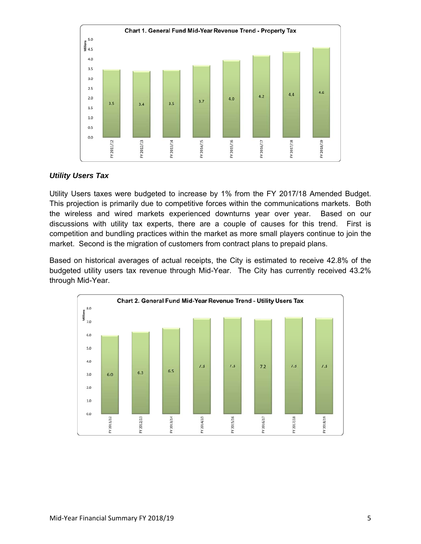

#### *Utility Users Tax*

Utility Users taxes were budgeted to increase by 1% from the FY 2017/18 Amended Budget. This projection is primarily due to competitive forces within the communications markets. Both the wireless and wired markets experienced downturns year over year. Based on our discussions with utility tax experts, there are a couple of causes for this trend. First is competition and bundling practices within the market as more small players continue to join the market. Second is the migration of customers from contract plans to prepaid plans.

Based on historical averages of actual receipts, the City is estimated to receive 42.8% of the budgeted utility users tax revenue through Mid-Year. The City has currently received 43.2% through Mid-Year.

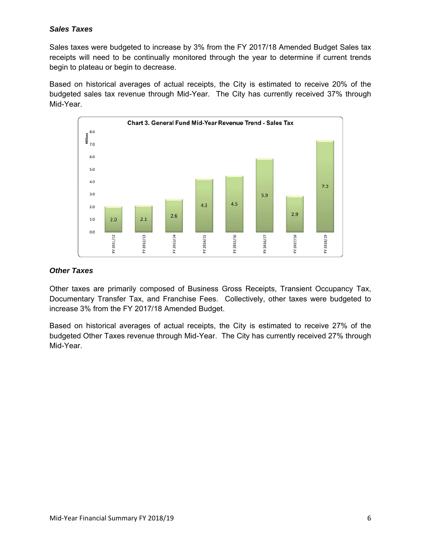## *Sales Taxes*

Sales taxes were budgeted to increase by 3% from the FY 2017/18 Amended Budget Sales tax receipts will need to be continually monitored through the year to determine if current trends begin to plateau or begin to decrease.

Based on historical averages of actual receipts, the City is estimated to receive 20% of the budgeted sales tax revenue through Mid-Year. The City has currently received 37% through Mid-Year.



## *Other Taxes*

Other taxes are primarily composed of Business Gross Receipts, Transient Occupancy Tax, Documentary Transfer Tax, and Franchise Fees. Collectively, other taxes were budgeted to increase 3% from the FY 2017/18 Amended Budget.

Based on historical averages of actual receipts, the City is estimated to receive 27% of the budgeted Other Taxes revenue through Mid-Year. The City has currently received 27% through Mid-Year.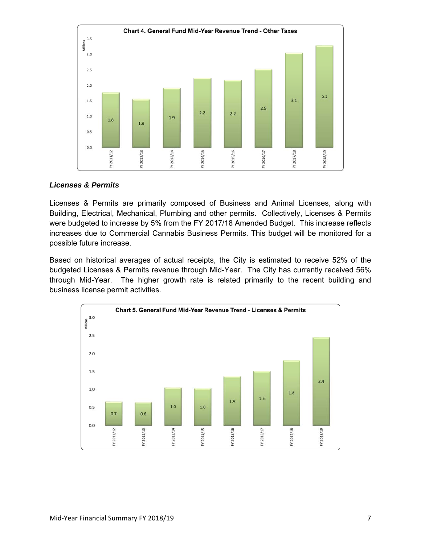

#### *Licenses & Permits*

Licenses & Permits are primarily composed of Business and Animal Licenses, along with Building, Electrical, Mechanical, Plumbing and other permits. Collectively, Licenses & Permits were budgeted to increase by 5% from the FY 2017/18 Amended Budget. This increase reflects increases due to Commercial Cannabis Business Permits. This budget will be monitored for a possible future increase.

Based on historical averages of actual receipts, the City is estimated to receive 52% of the budgeted Licenses & Permits revenue through Mid-Year. The City has currently received 56% through Mid-Year. The higher growth rate is related primarily to the recent building and business license permit activities.

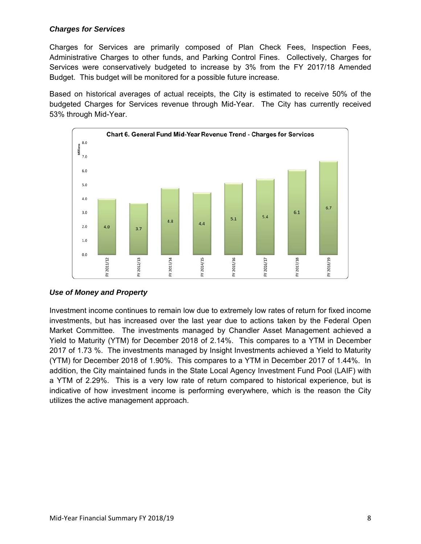## *Charges for Services*

Charges for Services are primarily composed of Plan Check Fees, Inspection Fees, Administrative Charges to other funds, and Parking Control Fines. Collectively, Charges for Services were conservatively budgeted to increase by 3% from the FY 2017/18 Amended Budget. This budget will be monitored for a possible future increase.

Based on historical averages of actual receipts, the City is estimated to receive 50% of the budgeted Charges for Services revenue through Mid-Year. The City has currently received 53% through Mid-Year.



## *Use of Money and Property*

Investment income continues to remain low due to extremely low rates of return for fixed income investments, but has increased over the last year due to actions taken by the Federal Open Market Committee. The investments managed by Chandler Asset Management achieved a Yield to Maturity (YTM) for December 2018 of 2.14%. This compares to a YTM in December 2017 of 1.73 %. The investments managed by Insight Investments achieved a Yield to Maturity (YTM) for December 2018 of 1.90%. This compares to a YTM in December 2017 of 1.44%. In addition, the City maintained funds in the State Local Agency Investment Fund Pool (LAIF) with a YTM of 2.29%. This is a very low rate of return compared to historical experience, but is indicative of how investment income is performing everywhere, which is the reason the City utilizes the active management approach.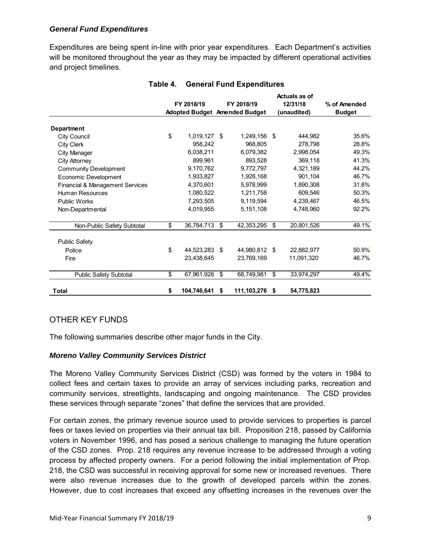## *General Fund Expenditures*

Expenditures are being spent in-line with prior year expenditures. Each Department's activities will be monitored throughout the year as they may be impacted by different operational activities and project timelines.

|                                            |                               | FY 2018/19  |    | FY 2018/19     | Actuals as of<br>12/31/18 | % of Amended  |  |
|--------------------------------------------|-------------------------------|-------------|----|----------------|---------------------------|---------------|--|
|                                            | Adopted Budget Amended Budget |             |    |                | (unaudited)               | <b>Budget</b> |  |
|                                            |                               |             |    |                |                           |               |  |
| Department                                 |                               |             |    |                |                           |               |  |
| <b>City Council</b>                        | \$                            | 1,019,127   | \$ | 1,249,156      | \$<br>444,982             | 35.6%         |  |
| <b>City Clerk</b>                          |                               | 958,242     |    | 968,805        | 278,798                   | 28.8%         |  |
| <b>City Manager</b>                        |                               | 6.038.211   |    | 6.079.382      | 2,998,054                 | 49.3%         |  |
| <b>City Attorney</b>                       |                               | 899,961     |    | 893,528        | 369,118                   | 41.3%         |  |
| <b>Community Development</b>               |                               | 9,170,762   |    | 9,772,797      | 4,321,189                 | 44.2%         |  |
| Economic Development                       |                               | 1,933,827   |    | 1,928,168      | 901,104                   | 46.7%         |  |
| <b>Financial &amp; Management Services</b> |                               | 4.370.601   |    | 5.978.999      | 1,890,308                 | 31.6%         |  |
| Human Resources                            |                               | 1,080,522   |    | 1,211,758      | 609,546                   | 50.3%         |  |
| <b>Public Works</b>                        |                               | 7,293,505   |    | 9,119,594      | 4,239,467                 | 46.5%         |  |
| Non-Departmental                           |                               | 4,019,955   |    | 5,151,108      | 4,748,960                 | 92.2%         |  |
| Non-Public Safety Subtotal                 | \$                            | 36,784,713  | \$ | 42,353,295     | \$<br>20,801,526          | 49.1%         |  |
| <b>Public Safety</b>                       |                               |             |    |                |                           |               |  |
| Police                                     | \$                            | 44,523,283  | \$ | 44,980,812     | \$<br>22,882,977          | 50.9%         |  |
| Fire                                       |                               | 23,438,645  |    | 23,769,169     | 11,091,320                | 46.7%         |  |
| <b>Public Safety Subtotal</b>              | \$                            | 67,961,928  | \$ | 68,749,981     | \$<br>33,974,297          | 49.4%         |  |
| Total                                      | \$                            | 104,746,641 | \$ | 111,103,276 \$ | 54,775,823                |               |  |

#### **Table 4. General Fund Expenditures**

# OTHER KEY FUNDS

The following summaries describe other major funds in the City.

#### *Moreno Valley Community Services District*

The Moreno Valley Community Services District (CSD) was formed by the voters in 1984 to collect fees and certain taxes to provide an array of services including parks, recreation and community services, streetlights, landscaping and ongoing maintenance. The CSD provides these services through separate "zones" that define the services that are provided.

For certain zones, the primary revenue source used to provide services to properties is parcel fees or taxes levied on properties via their annual tax bill. Proposition 218, passed by California voters in November 1996, and has posed a serious challenge to managing the future operation of the CSD zones. Prop. 218 requires any revenue increase to be addressed through a voting process by affected property owners. For a period following the initial implementation of Prop. 218, the CSD was successful in receiving approval for some new or increased revenues. There were also revenue increases due to the growth of developed parcels within the zones. However, due to cost increases that exceed any offsetting increases in the revenues over the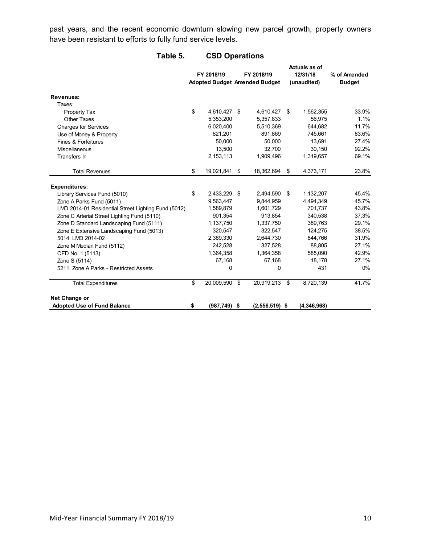past years, and the recent economic downturn slowing new parcel growth, property owners have been resistant to efforts to fully fund service levels.

|                                                     | FY 2018/19           | FY 2018/19 |                                      |    | Actuals as of<br>12/31/18 | % of Amended  |  |
|-----------------------------------------------------|----------------------|------------|--------------------------------------|----|---------------------------|---------------|--|
|                                                     |                      |            | <b>Adopted Budget Amended Budget</b> |    | (unaudited)               | <b>Budget</b> |  |
| <b>Revenues:</b>                                    |                      |            |                                      |    |                           |               |  |
| Taxes:                                              |                      |            |                                      |    |                           |               |  |
| <b>Property Tax</b>                                 | \$<br>4,610,427 \$   |            | 4,610,427                            | \$ | 1,562,355                 | 33.9%         |  |
| Other Taxes                                         | 5,353,200            |            | 5,357,833                            |    | 56.975                    | 1.1%          |  |
| <b>Charges for Services</b>                         | 6,020,400            |            | 5,510,369                            |    | 644,682                   | 11.7%         |  |
| Use of Money & Property                             | 821,201              |            | 891,869                              |    | 745,661                   | 83.6%         |  |
| Fines & Forfeitures                                 | 50,000               |            | 50,000                               |    | 13,691                    | 27.4%         |  |
| <b>Miscellaneous</b>                                | 13,500               |            | 32,700                               |    | 30,150                    | 92.2%         |  |
| Transfers In                                        | 2,153,113            |            | 1,909,496                            |    | 1,319,657                 | 69.1%         |  |
| <b>Total Revenues</b>                               | \$<br>19,021,841 \$  |            | 18,362,694                           | \$ | 4,373,171                 | 23.8%         |  |
| <b>Expenditures:</b>                                |                      |            |                                      |    |                           |               |  |
| Library Services Fund (5010)                        | \$<br>2,433,229 \$   |            | 2,494,590                            | \$ | 1,132,207                 | 45.4%         |  |
| Zone A Parks Fund (5011)                            | 9.563.447            |            | 9.844.959                            |    | 4.494.349                 | 45.7%         |  |
| LMD 2014-01 Residential Street Lighting Fund (5012) | 1,589,879            |            | 1,601,729                            |    | 701,737                   | 43.8%         |  |
| Zone C Arterial Street Lighting Fund (5110)         | 901,354              |            | 913,854                              |    | 340,538                   | 37.3%         |  |
| Zone D Standard Landscaping Fund (5111)             | 1,137,750            |            | 1,337,750                            |    | 389,763                   | 29.1%         |  |
| Zone E Extensive Landscaping Fund (5013)            | 320,547              |            | 322,547                              |    | 124,275                   | 38.5%         |  |
| 5014 LMD 2014-02                                    | 2,389,330            |            | 2,644,730                            |    | 844.766                   | 31.9%         |  |
| Zone M Median Fund (5112)                           | 242,528              |            | 327,528                              |    | 88,805                    | 27.1%         |  |
| CFD No. 1 (5113)                                    | 1,364,358            |            | 1,364,358                            |    | 585,090                   | 42.9%         |  |
| Zone S (5114)                                       | 67,168               |            | 67,168                               |    | 18.178                    | 27.1%         |  |
| 5211 Zone A Parks - Restricted Assets               | 0                    |            | $\Omega$                             |    | 431                       | $0\%$         |  |
| <b>Total Expenditures</b>                           | \$<br>20,009,590     | \$         | 20,919,213                           | \$ | 8,720,139                 | 41.7%         |  |
| Net Change or                                       |                      |            |                                      |    |                           |               |  |
| <b>Adopted Use of Fund Balance</b>                  | \$<br>$(987,749)$ \$ |            | $(2,556,519)$ \$                     |    | (4.346.968)               |               |  |

## **Table 5. CSD Operations**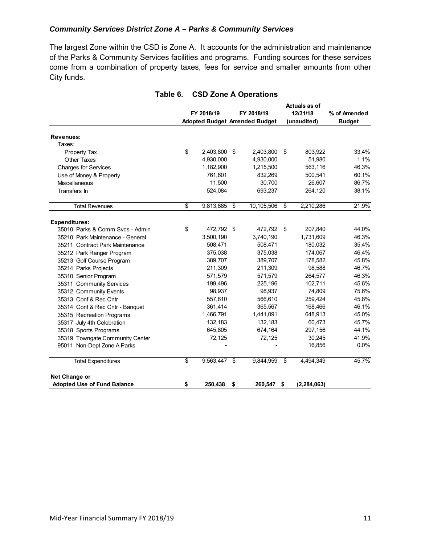#### *Community Services District Zone A – Parks & Community Services*

The largest Zone within the CSD is Zone A. It accounts for the administration and maintenance of the Parks & Community Services facilities and programs. Funding sources for these services come from a combination of property taxes, fees for service and smaller amounts from other City funds.

|                                    |                  |                                      | Actuals as of   |               |
|------------------------------------|------------------|--------------------------------------|-----------------|---------------|
|                                    | FY 2018/19       | FY 2018/19                           | 12/31/18        | % of Amended  |
|                                    |                  | <b>Adopted Budget Amended Budget</b> | (unaudited)     | <b>Budget</b> |
| <b>Revenues:</b>                   |                  |                                      |                 |               |
| Taxes:                             |                  |                                      |                 |               |
| <b>Property Tax</b>                | \$<br>2,403,800  | \$<br>2,403,800                      | \$<br>803,922   | 33.4%         |
| <b>Other Taxes</b>                 | 4,930,000        | 4,930,000                            | 51,980          | 1.1%          |
| <b>Charges for Services</b>        | 1,182,900        | 1,215,500                            | 563,116         | 46.3%         |
| Use of Money & Property            | 761,601          | 832,269                              | 500,541         | 60.1%         |
| Miscellaneous                      | 11,500           | 30,700                               | 26,607          | 86.7%         |
| Transfers In                       | 524,084          | 693,237                              | 264,120         | 38.1%         |
|                                    |                  |                                      |                 |               |
| <b>Total Revenues</b>              | \$<br>9,813,885  | \$<br>10,105,506                     | \$<br>2,210,286 | 21.9%         |
| <b>Expenditures:</b>               |                  |                                      |                 |               |
| 35010 Parks & Comm Svcs - Admin    | \$<br>472,792 \$ | 472,792                              | \$<br>207,840   | 44.0%         |
| 35210 Park Maintenance - General   | 3,500,190        | 3,740,190                            | 1,731,609       | 46.3%         |
| 35211 Contract Park Maintenance    | 508,471          | 508,471                              | 180,032         | 35.4%         |
| 35212 Park Ranger Program          | 375,038          | 375,038                              | 174,067         | 46.4%         |
| 35213 Golf Course Program          | 389,707          | 389,707                              | 178,582         | 45.8%         |
| 35214 Parks Projects               | 211,309          | 211,309                              | 98.588          | 46.7%         |
| 35310 Senior Program               | 571,579          | 571,579                              | 264,577         | 46.3%         |
| 35311 Community Services           | 199,496          | 225,196                              | 102,711         | 45.6%         |
| 35312 Community Events             | 98,937           | 98,937                               | 74,809          | 75.6%         |
| 35313 Conf & Rec Cntr              | 557,610          | 566,610                              | 259,424         | 45.8%         |
| 35314 Conf & Rec Cntr - Banquet    | 361,414          | 365,567                              | 168,466         | 46.1%         |
| 35315 Recreation Programs          | 1,466,791        | 1,441,091                            | 648,913         | 45.0%         |
| 35317 July 4th Celebration         | 132,183          | 132,183                              | 60,473          | 45.7%         |
| 35318 Sports Programs              | 645,805          | 674,164                              | 297,156         | 44.1%         |
| 35319 Towngate Community Center    | 72,125           | 72,125                               | 30,245          | 41.9%         |
| 95011 Non-Dept Zone A Parks        |                  |                                      | 16,856          | 0.0%          |
| <b>Total Expenditures</b>          | \$<br>9,563,447  | \$<br>9,844,959                      | \$<br>4,494,349 | 45.7%         |
|                                    |                  |                                      |                 |               |
| Net Change or                      |                  |                                      |                 |               |
| <b>Adopted Use of Fund Balance</b> | \$<br>250,438    | \$<br>260,547 \$                     | (2, 284, 063)   |               |

## **Table 6. CSD Zone A Operations**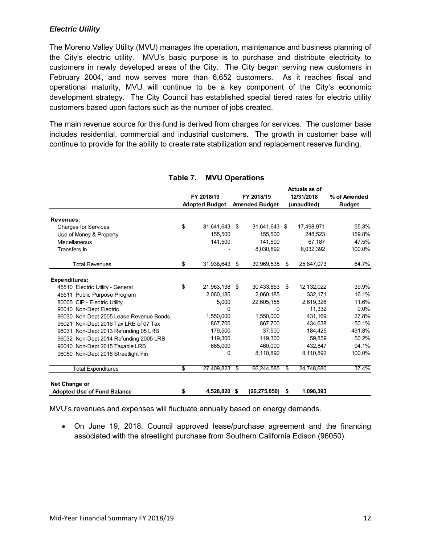## *Electric Utility*

The Moreno Valley Utility (MVU) manages the operation, maintenance and business planning of the City's electric utility. MVU's basic purpose is to purchase and distribute electricity to customers in newly developed areas of the City. The City began serving new customers in February 2004, and now serves more than 6,652 customers. As it reaches fiscal and operational maturity, MVU will continue to be a key component of the City's economic development strategy. The City Council has established special tiered rates for electric utility customers based upon factors such as the number of jobs created.

The main revenue source for this fund is derived from charges for services. The customer base includes residential, commercial and industrial customers. The growth in customer base will continue to provide for the ability to create rate stabilization and replacement reserve funding.

|                                         |            |                       |    |                       | Auuais as Ui     |               |
|-----------------------------------------|------------|-----------------------|----|-----------------------|------------------|---------------|
|                                         | FY 2018/19 |                       |    | FY 2018/19            | 12/31/2018       | % of Amended  |
|                                         |            | <b>Adopted Budget</b> |    | <b>Amended Budget</b> | (unaudited)      | <b>Budget</b> |
| <b>Revenues:</b>                        |            |                       |    |                       |                  |               |
| <b>Charges for Services</b>             | \$         | 31,641,643 \$         |    | 31,641,643 \$         | 17,498,971       | 55.3%         |
| Use of Money & Property                 |            | 155.500               |    | 155,500               | 248,523          | 159.8%        |
| <b>Miscellaneous</b>                    |            | 141,500               |    | 141.500               | 67.187           | 47.5%         |
| Transfers In                            |            |                       |    | 8,030,892             | 8,032,392        | 100.0%        |
| <b>Total Revenues</b>                   | \$         | 31,938,643            | \$ | 39,969,535            | \$<br>25,847,073 | 64.7%         |
| <b>Expenditures:</b>                    |            |                       |    |                       |                  |               |
| 45510 Electric Utility - General        | \$         | 21,963,138 \$         |    | 30,433,853            | \$<br>12,132,022 | 39.9%         |
| 45511 Public Purpose Program            |            | 2,060,185             |    | 2,060,185             | 332,171          | 16.1%         |
| 80005 CIP - Electric Utility            |            | 5,000                 |    | 22,605,155            | 2.619.326        | 11.6%         |
| 96010 Non-Dept Electric                 |            | U                     |    | 0                     | 11.332           | $0.0\%$       |
| 96030 Non-Dept 2005 Lease Revenue Bonds |            | 1,550,000             |    | 1,550,000             | 431,169          | 27.8%         |
| 96021 Non-Dept 2016 Tax LRB of 07 Tax   |            | 867.700               |    | 867.700               | 434.638          | 50.1%         |
| 96031 Non-Dept 2013 Refunding 05 LRB    |            | 179,500               |    | 37,500                | 184,425          | 491.8%        |
| 96032 Non-Dept 2014 Refunding 2005 LRB  |            | 119,300               |    | 119,300               | 59,859           | 50.2%         |
| 96040 Non-Dept 2015 Taxable LRB         |            | 665.000               |    | 460.000               | 432.847          | 94.1%         |
| 96050 Non-Dept 2018 Streetlight Fin     |            | 0                     |    | 8,110,892             | 8,110,892        | 100.0%        |
| <b>Total Expenditures</b>               | \$         | 27,409,823            | \$ | 66,244,585            | \$<br>24,748,680 | 37.4%         |
| Net Change or                           |            |                       |    |                       |                  |               |
| <b>Adopted Use of Fund Balance</b>      | \$         | 4,528,820             | S. | (26, 275, 050)        | \$<br>1,098,393  |               |

#### **Table 7. MVU Operations**

 **Actuals as of** 

MVU's revenues and expenses will fluctuate annually based on energy demands.

 On June 19, 2018, Council approved lease/purchase agreement and the financing associated with the streetlight purchase from Southern California Edison (96050).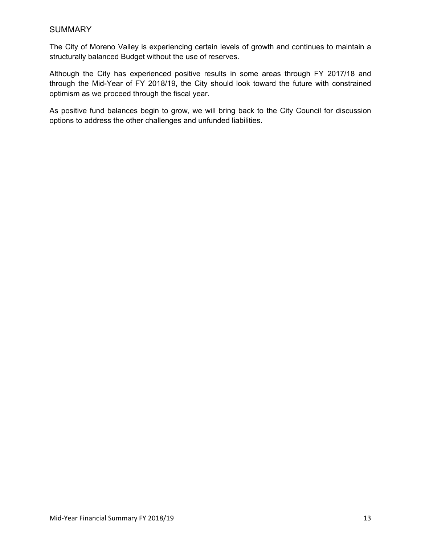## **SUMMARY**

The City of Moreno Valley is experiencing certain levels of growth and continues to maintain a structurally balanced Budget without the use of reserves.

Although the City has experienced positive results in some areas through FY 2017/18 and through the Mid-Year of FY 2018/19, the City should look toward the future with constrained optimism as we proceed through the fiscal year.

As positive fund balances begin to grow, we will bring back to the City Council for discussion options to address the other challenges and unfunded liabilities.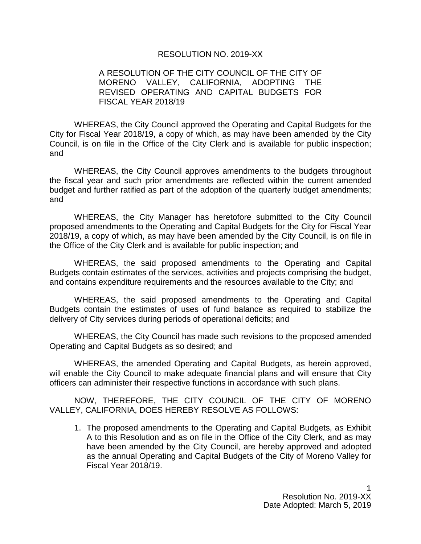#### RESOLUTION NO. 2019-XX

## A RESOLUTION OF THE CITY COUNCIL OF THE CITY OF MORENO VALLEY, CALIFORNIA, ADOPTING THE REVISED OPERATING AND CAPITAL BUDGETS FOR FISCAL YEAR 2018/19

WHEREAS, the City Council approved the Operating and Capital Budgets for the City for Fiscal Year 2018/19, a copy of which, as may have been amended by the City Council, is on file in the Office of the City Clerk and is available for public inspection; and

WHEREAS, the City Council approves amendments to the budgets throughout the fiscal year and such prior amendments are reflected within the current amended budget and further ratified as part of the adoption of the quarterly budget amendments; and

WHEREAS, the City Manager has heretofore submitted to the City Council proposed amendments to the Operating and Capital Budgets for the City for Fiscal Year 2018/19, a copy of which, as may have been amended by the City Council, is on file in the Office of the City Clerk and is available for public inspection; and

WHEREAS, the said proposed amendments to the Operating and Capital Budgets contain estimates of the services, activities and projects comprising the budget, and contains expenditure requirements and the resources available to the City; and

WHEREAS, the said proposed amendments to the Operating and Capital Budgets contain the estimates of uses of fund balance as required to stabilize the delivery of City services during periods of operational deficits; and

WHEREAS, the City Council has made such revisions to the proposed amended Operating and Capital Budgets as so desired; and

WHEREAS, the amended Operating and Capital Budgets, as herein approved, will enable the City Council to make adequate financial plans and will ensure that City officers can administer their respective functions in accordance with such plans.

NOW, THEREFORE, THE CITY COUNCIL OF THE CITY OF MORENO VALLEY, CALIFORNIA, DOES HEREBY RESOLVE AS FOLLOWS:

1. The proposed amendments to the Operating and Capital Budgets, as Exhibit A to this Resolution and as on file in the Office of the City Clerk, and as may have been amended by the City Council, are hereby approved and adopted as the annual Operating and Capital Budgets of the City of Moreno Valley for Fiscal Year 2018/19.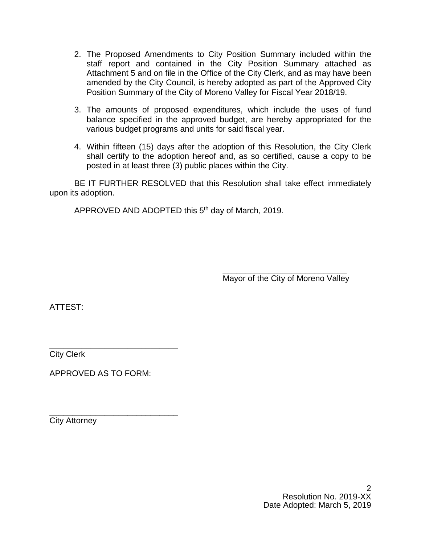- 2. The Proposed Amendments to City Position Summary included within the staff report and contained in the City Position Summary attached as Attachment 5 and on file in the Office of the City Clerk, and as may have been amended by the City Council, is hereby adopted as part of the Approved City Position Summary of the City of Moreno Valley for Fiscal Year 2018/19.
- 3. The amounts of proposed expenditures, which include the uses of fund balance specified in the approved budget, are hereby appropriated for the various budget programs and units for said fiscal year.
- 4. Within fifteen (15) days after the adoption of this Resolution, the City Clerk shall certify to the adoption hereof and, as so certified, cause a copy to be posted in at least three (3) public places within the City.

BE IT FURTHER RESOLVED that this Resolution shall take effect immediately upon its adoption.

APPROVED AND ADOPTED this 5th day of March, 2019.

\_\_\_\_\_\_\_\_\_\_\_\_\_\_\_\_\_\_\_\_\_\_\_\_\_\_\_ Mayor of the City of Moreno Valley

ATTEST:

\_\_\_\_\_\_\_\_\_\_\_\_\_\_\_\_\_\_\_\_\_\_\_\_\_\_\_\_ City Clerk

APPROVED AS TO FORM:

\_\_\_\_\_\_\_\_\_\_\_\_\_\_\_\_\_\_\_\_\_\_\_\_\_\_\_\_ City Attorney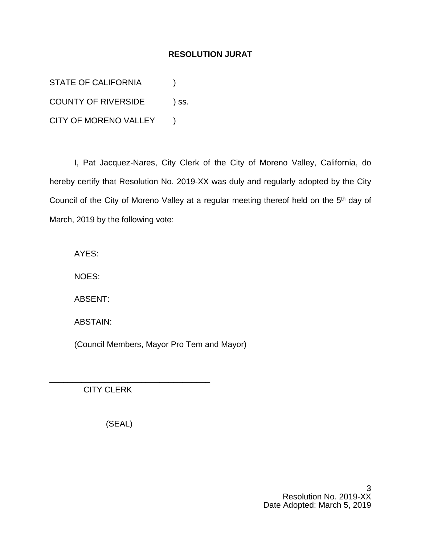## **RESOLUTION JURAT**

STATE OF CALIFORNIA (1) COUNTY OF RIVERSIDE ) ss. CITY OF MORENO VALLEY )

I, Pat Jacquez-Nares, City Clerk of the City of Moreno Valley, California, do hereby certify that Resolution No. 2019-XX was duly and regularly adopted by the City Council of the City of Moreno Valley at a regular meeting thereof held on the 5<sup>th</sup> day of March, 2019 by the following vote:

AYES:

NOES:

ABSENT:

ABSTAIN:

(Council Members, Mayor Pro Tem and Mayor)

CITY CLERK

(SEAL)

\_\_\_\_\_\_\_\_\_\_\_\_\_\_\_\_\_\_\_\_\_\_\_\_\_\_\_\_\_\_\_\_\_\_\_

3 Resolution No. 2019-XX Date Adopted: March 5, 2019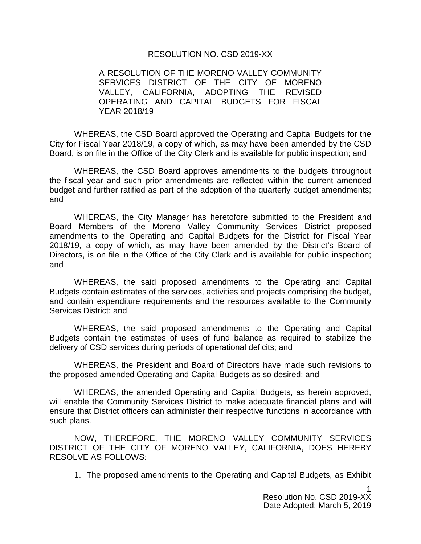## RESOLUTION NO. CSD 2019-XX

A RESOLUTION OF THE MORENO VALLEY COMMUNITY SERVICES DISTRICT OF THE CITY OF MORENO VALLEY, CALIFORNIA, ADOPTING THE REVISED OPERATING AND CAPITAL BUDGETS FOR FISCAL YEAR 2018/19

WHEREAS, the CSD Board approved the Operating and Capital Budgets for the City for Fiscal Year 2018/19, a copy of which, as may have been amended by the CSD Board, is on file in the Office of the City Clerk and is available for public inspection; and

WHEREAS, the CSD Board approves amendments to the budgets throughout the fiscal year and such prior amendments are reflected within the current amended budget and further ratified as part of the adoption of the quarterly budget amendments; and

WHEREAS, the City Manager has heretofore submitted to the President and Board Members of the Moreno Valley Community Services District proposed amendments to the Operating and Capital Budgets for the District for Fiscal Year 2018/19, a copy of which, as may have been amended by the District's Board of Directors, is on file in the Office of the City Clerk and is available for public inspection; and

WHEREAS, the said proposed amendments to the Operating and Capital Budgets contain estimates of the services, activities and projects comprising the budget, and contain expenditure requirements and the resources available to the Community Services District; and

WHEREAS, the said proposed amendments to the Operating and Capital Budgets contain the estimates of uses of fund balance as required to stabilize the delivery of CSD services during periods of operational deficits; and

WHEREAS, the President and Board of Directors have made such revisions to the proposed amended Operating and Capital Budgets as so desired; and

WHEREAS, the amended Operating and Capital Budgets, as herein approved, will enable the Community Services District to make adequate financial plans and will ensure that District officers can administer their respective functions in accordance with such plans.

NOW, THEREFORE, THE MORENO VALLEY COMMUNITY SERVICES DISTRICT OF THE CITY OF MORENO VALLEY, CALIFORNIA, DOES HEREBY RESOLVE AS FOLLOWS:

1. The proposed amendments to the Operating and Capital Budgets, as Exhibit

1 Resolution No. CSD 2019-XX Date Adopted: March 5, 2019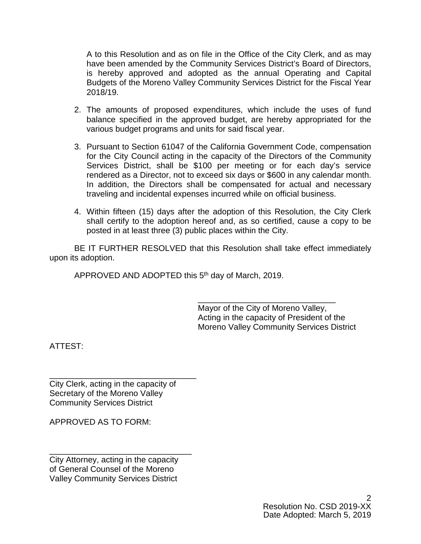A to this Resolution and as on file in the Office of the City Clerk, and as may have been amended by the Community Services District's Board of Directors, is hereby approved and adopted as the annual Operating and Capital Budgets of the Moreno Valley Community Services District for the Fiscal Year 2018/19.

- 2. The amounts of proposed expenditures, which include the uses of fund balance specified in the approved budget, are hereby appropriated for the various budget programs and units for said fiscal year.
- 3. Pursuant to Section 61047 of the California Government Code, compensation for the City Council acting in the capacity of the Directors of the Community Services District, shall be \$100 per meeting or for each day's service rendered as a Director, not to exceed six days or \$600 in any calendar month. In addition, the Directors shall be compensated for actual and necessary traveling and incidental expenses incurred while on official business.
- 4. Within fifteen (15) days after the adoption of this Resolution, the City Clerk shall certify to the adoption hereof and, as so certified, cause a copy to be posted in at least three (3) public places within the City.

BE IT FURTHER RESOLVED that this Resolution shall take effect immediately upon its adoption.

APPROVED AND ADOPTED this 5<sup>th</sup> day of March, 2019.

\_\_\_\_\_\_\_\_\_\_\_\_\_\_\_\_\_\_\_\_\_\_\_\_\_\_\_\_\_\_ Mayor of the City of Moreno Valley, Acting in the capacity of President of the Moreno Valley Community Services District

ATTEST:

\_\_\_\_\_\_\_\_\_\_\_\_\_\_\_\_\_\_\_\_\_\_\_\_\_\_\_\_\_\_\_\_ City Clerk, acting in the capacity of Secretary of the Moreno Valley Community Services District

APPROVED AS TO FORM:

City Attorney, acting in the capacity of General Counsel of the Moreno Valley Community Services District

\_\_\_\_\_\_\_\_\_\_\_\_\_\_\_\_\_\_\_\_\_\_\_\_\_\_\_\_\_\_\_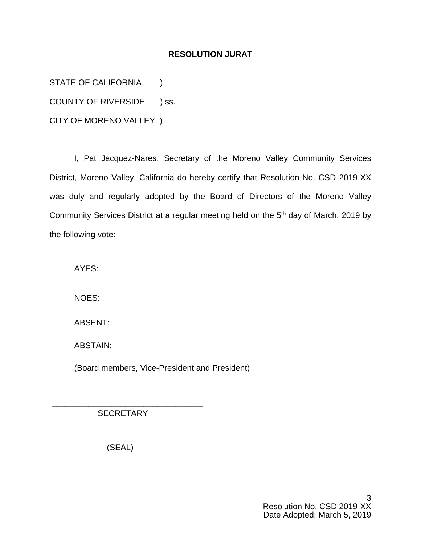## **RESOLUTION JURAT**

STATE OF CALIFORNIA (1)

COUNTY OF RIVERSIDE ) ss.

CITY OF MORENO VALLEY )

I, Pat Jacquez-Nares, Secretary of the Moreno Valley Community Services District, Moreno Valley, California do hereby certify that Resolution No. CSD 2019-XX was duly and regularly adopted by the Board of Directors of the Moreno Valley Community Services District at a regular meeting held on the 5th day of March, 2019 by the following vote:

AYES:

NOES:

ABSENT:

ABSTAIN:

(Board members, Vice-President and President)

**SECRETARY** 

\_\_\_\_\_\_\_\_\_\_\_\_\_\_\_\_\_\_\_\_\_\_\_\_\_\_\_\_\_\_\_\_\_

(SEAL)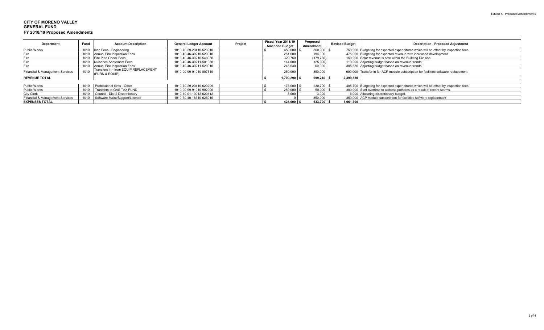| <b>Department</b>               | Fund | <b>Account Description</b>                              | <b>General Ledger Account</b> | Project | Fiscal Year 2018/19<br><b>Amended Budget</b> |                | Proposed<br>Amendment | <b>Revised Budget</b> | <b>Description - Proposed Adjustment</b>                                             |
|---------------------------------|------|---------------------------------------------------------|-------------------------------|---------|----------------------------------------------|----------------|-----------------------|-----------------------|--------------------------------------------------------------------------------------|
| <b>Public Works</b>             |      | 1010 Insp Fees - Engineering                            | 1010-70-29-20410-523010       |         |                                              | 450,000 \$     | $300,000$ \$          |                       | 750,000 Budgeting for expected expenditures which will be offset by inspection fees. |
| Fire                            |      | 1010 Annual Fire Inspection Fees                        | 1010-40-46-30210-520010       |         |                                              | 281,000        | 194,000               |                       | 475,000 Budgeting for expected revenue with increased development.                   |
| Fire                            |      | 1010 Fire Plan Check Fees                               | 1010-40-46-30210-540030       |         |                                              | 329,760        | (179, 760)            |                       | 150,000 Solar revenue is now within the Building Division.                           |
|                                 |      | 1010 Nuisance Abatement Fees                            | 1010-40-46-30211-501030       |         |                                              | 144,000        | (25,000)              |                       | 119,000 Adjusting budget based on revenue trends.                                    |
|                                 |      | 1010 Annual Fire Inspection Fees                        | 1010-40-46-30211-520010       |         |                                              | 245,530        | 60,000                |                       | 305,530 Adjusting budget based on revenue trends.                                    |
| Financial & Management Services | 1010 | Transfers in - from EQUIP REPLACEMENT<br>(FURN & EQUIP) | 1010-99-99-91010-807510       |         |                                              | 250,000        | 350,000               |                       | 600,000 Transfer in for ACP module subscription for facilities software replacement  |
| <b>REVENUE TOTAL</b>            |      |                                                         |                               |         |                                              | $1,700,290$ \$ | 699,240               | 2.399.530             |                                                                                      |
|                                 |      |                                                         |                               |         |                                              |                |                       |                       |                                                                                      |
| <b>Public Works</b>             |      | 1010 Professional Sycs - Other                          | 1010-70-29-20410-620299       |         |                                              | 175,000 \$     | 230,700 \$            |                       | 405,700 Budgeting for expected expenditures which will be offset by inspection fees. |
| <b>Public Works</b>             |      | 1010 Transfers to GAS TAX FUND                          | 1010-99-99-91010-902000       |         |                                              | 250,000 \$     | $50,000$ \$           |                       | 300,000 Staff overtime to address potholes as a result of recent storms.             |
| <b>City Clerk</b>               |      | 1010 Council - Dist 2 Discretionary                     | 1010-10-01-10012-620112       |         |                                              | 3,000          | 3.000                 |                       | 6,000 Allocating discretionary budget.                                               |
| Financial & Management Services |      | 1010 Software Maint/Support/License                     | 1010-30-40-18310-625010       |         |                                              |                | 350,000               |                       | 350,000 ACP module subscription for facilities software replacement                  |
| <b>EXPENSES TOTAL</b>           |      |                                                         |                               |         |                                              | $428,000$ \$   | 633,700 \$            | 1,061,700             |                                                                                      |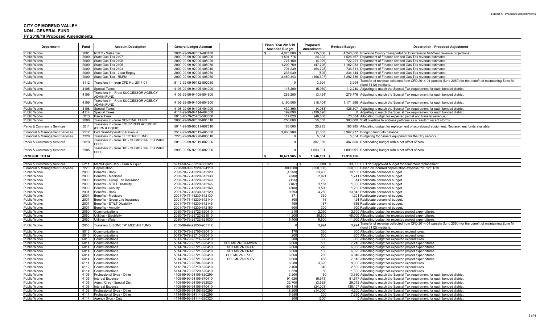#### **CITY OF MORENO VALLEY NON - GENERAL FUNDFY 2018/19 Proposed Amendments**

| Department                                                    | Fund         | <b>Account Description</b>                                       | <b>General Ledger Account</b>                      |                                     | Fiscal Year 2018/19<br><b>Amended Budget</b> | Proposed<br>Amendment    | <b>Revised Budget</b> | <b>Description - Proposed Adjustment</b>                                                                                        |
|---------------------------------------------------------------|--------------|------------------------------------------------------------------|----------------------------------------------------|-------------------------------------|----------------------------------------------|--------------------------|-----------------------|---------------------------------------------------------------------------------------------------------------------------------|
| Public Works                                                  | 2001         | <b>RCTC - Sales Tax</b>                                          | 2001-99-99-92001-480180                            |                                     | 4.025.000                                    | 215,000                  |                       | 4.240.000 Riverside County Transportation Commission Mid-Year revenue projections                                               |
| <b>Public Works</b>                                           | 2000         | State Gas Tax 2107                                               | 2000-99-99-92000-408000                            |                                     | 1,501,775                                    | 24,392                   |                       | 1,526,167 Department of Finance revised Gas Tax revenue estimates                                                               |
| <b>Public Works</b>                                           | 2000         | State Gas Tax 2106                                               | 2000-99-99-92000-408020                            |                                     | 727,150                                      | (4,929)                  |                       | 722.221 Department of Finance revised Gas Tax revenue estimates                                                                 |
| Public Works                                                  | 2000         | State Gas Tax 2105                                               | 2000-99-99-92000-408030                            |                                     | 1,209,759                                    | (47, 726)                | 1,162,033             | Department of Finance revised Gas Tax revenue estimates                                                                         |
| <b>Public Works</b>                                           | 2000         | State Gas Tax 2103                                               | 2000-99-99-92000-408040                            |                                     | 791,239                                      | (54, 728)                |                       | 736,511 Department of Finance revised Gas Tax revenue estimates.                                                                |
| Public Works                                                  | 2000         | State Gas Tax - Loan Repay                                       | 2000-99-99-92000-408050                            |                                     | 235,039                                      | (895)                    |                       | 234,144 Department of Finance revised Gas Tax revenue estimates.                                                                |
| <b>Public Works</b>                                           | 2000         | State Gas Tax - RMRA                                             | 2000-99-99-92000-408060                            |                                     | 3.459.343                                    | (166, 607)               | 3,292,736             | Department of Finance revised Gas Tax revenue estimates.                                                                        |
| <b>Public Works</b>                                           | 5112         | Fransfers in - from CFD No. 2014-01                              | 5112-99-99-95112-802050                            |                                     |                                              | 3,994                    | 3,994                 | ransfer of revenue collected from CFD 2014-01 parcels (fund 2050) for the benefit of maintaining Zone M<br>fund 5112) medians   |
| <b>Public Works</b>                                           | 4105         | Special Taxes                                                    | 4105-99-99-94105-404000                            |                                     | 118,200                                      | (5.960)                  | 112.240               | Adjusting to match the Special Tax requirement for each bonded district.                                                        |
| <b>Public Works</b>                                           | 4105         | ransfers In - From SUCCESSOR AGENCY<br><b>ADMIN FUND</b>         | 4105-99-99-94105-804800                            |                                     | 283,200                                      | (3, 424)                 | 279,776               | Adjusting to match the Special Tax requirement for each bonded district.                                                        |
| Public Works                                                  | 4106         | Fransfers In - From SUCCESSOR AGENCY<br><b>NDMIN FUND</b>        | 4106-99-99-94106-804800                            |                                     | 1,190,000                                    | (18, 404)                | 1,171,596             | Adjusting to match the Special Tax requirement for each bonded district.                                                        |
| <b>Public Works</b>                                           | 4108         | <b>Special Taxes</b>                                             | 4108-99-99-94108-404000                            |                                     | 430.390                                      | (4.083)                  |                       | 426,307 Adjusting to match the Special Tax requirement for each bonded district.                                                |
| <b>Public Works</b>                                           | 4114         | <b>Special Taxes</b>                                             | 4114-99-99-94114-404000                            |                                     | 199.890                                      | (199.890                 |                       | Adjusting to match the Special Tax requirement for each bonded district.                                                        |
| <b>Public Works</b>                                           | 5013         | Parcel Fees                                                      | 5013-70-79-25705-500800                            |                                     | 117.020                                      | (46.636)                 |                       | 70,384 Allocating budget for expected parcel and transfer revenue                                                               |
| Public Works                                                  | 2000         | Transfers in - from GENERAL FUND                                 | 2000-99-99-92000-801010                            |                                     | 250,000                                      | 50,000                   |                       | 300,000 Staff overtime to address potholes as a result of recent storms                                                         |
| Parks & Community Services                                    | 5011         | ransfers in - from EQUIP REPLACEMENT<br><b>FURN &amp; EQUIP)</b> | 5011-99-99-95011-807510                            |                                     | 165,000                                      | 20,985                   | 185,985               | Allocating budget for replacement of scoreboard equipment. Replacement funds available.                                         |
| <b>Financial &amp; Management Services</b>                    | 2512         | Fed Grant-Operating Revenue                                      | 2512-99-99-92512-485000                            |                                     | 3.968.980                                    | (1.003)                  |                       | 3.967.977 Bringing fund into balance.                                                                                           |
| Financial & Management Services                               | 7220         | ransfers in - from ELECTRIC FUND                                 | 7220-99-99-97220-806010                            |                                     |                                              | 5,354                    |                       | 5,354 Budgeting for camera equipment for the City network                                                                       |
| Parks & Community Services                                    | 2019         | ransfers in - from DIF - QUIMBY IN-LIEU PARK<br><b>FEES</b>      | 2019-99-99-92019-802906                            |                                     |                                              | 387,650                  | 387,650               | Reallocating budget with a net affect of zero.                                                                                  |
| Parks & Community Services                                    | 2905         | ransfers in - from DIF - QUIMBY IN-LIEU PARK<br><b>FEES</b>      | 2905-99-95-92905-802906                            |                                     |                                              | 1,093,091                | 1,093,091             | Reallocating budget with a net affect of zero.                                                                                  |
| <b>REVENUE TOTAL</b>                                          |              |                                                                  |                                                    |                                     | $18.671.985$ \$<br>l S                       | 1.246.181                | 19.918.166            |                                                                                                                                 |
|                                                               | 5211         |                                                                  |                                                    |                                     |                                              |                          |                       |                                                                                                                                 |
| Parks & Community Services<br>Financial & Management Services | 7220         | Mach-Equip-Repl - Furn & Equip<br>Depreciation                   | 5211-50-57-35210-660320<br>7220-99-99-97220-694110 |                                     | 800,000                                      | $33,000$ \$<br>(250,000) |                       | 33,000 FY 17/18 approved budget for equipment replacement.<br>550,000 Based on incurred depreciation expense thru 12/31/18.     |
| <b>Public Works</b>                                           | 2000         | Benefits - Bank                                                  | 2000-70-77-45220-612120                            |                                     | (4,250)                                      | 23,436                   |                       | 19,186 Reallocate personnel budget                                                                                              |
| <b>Public Works</b>                                           | 2000         | Benefits - Medicare                                              | 2000-70-77-45220-612130                            |                                     | (330)                                        | 2,071                    |                       | 1,741 Reallocate personnel budget                                                                                               |
| <b>Public Works</b>                                           | 2000         | Benefits - Group Life Insurance                                  | 2000-70-77-45220-612140                            |                                     | (116)                                        | 730                      |                       | 614 Reallocate personnel budge                                                                                                  |
| <b>Public Works</b>                                           | 2000         | Benefits - ST/LT Disability                                      | 2000-70-77-45220-612145                            |                                     | (187)                                        | 1,187                    |                       | 1,000 Reallocate personnel budget                                                                                               |
| <b>Public Works</b>                                           | 2000         | Benefits - Annuity                                               | 2000-70-77-45220-612160                            |                                     | (300)                                        | 1,500                    |                       | 1,200 Reallocate personnel budget                                                                                               |
| <b>Public Works</b>                                           | 2001         | Benefits - Bank                                                  | 2001-70-77-45230-612120                            |                                     | 9,593                                        | 4.250                    |                       | 13.843 Reallocate personnel budget                                                                                              |
| Public Works                                                  | 2001         | Benefits - Medicare                                              | 2001-70-77-45230-612130                            |                                     | 871                                          | 330                      |                       | 1,201 Reallocate personnel budget                                                                                               |
| <b>Public Works</b>                                           | 2001         | Benefits - Group Life Insurance                                  | 2001-70-77-45230-612140                            |                                     | 308                                          | 116                      |                       | 424 Reallocate personnel budget                                                                                                 |
| Public Works                                                  | 2001         | Benefits - ST/LT Disability                                      | 2001-70-77-45230-612145                            |                                     | 499                                          | 187                      |                       | 686 Reallocate personnel budget                                                                                                 |
| <b>Public Works</b>                                           | 2001         | Benefits - Annuitv                                               | 2001-70-77-45230-612160                            |                                     | 600                                          | 300                      |                       | 900 Reallocate personnel budget.                                                                                                |
| <b>Public Works</b>                                           | 2050         | Communications                                                   | 2050-70-79-25722-620410                            |                                     | 210                                          | 2,090                    |                       | 2,300 Allocating budget for expected project expenditures.                                                                      |
| Public Works                                                  | 2050         | Jtilities - Electricity                                          | 2050-70-79-25722-621010                            |                                     | 11,200                                       | 36,800                   |                       | 48,000 Allocating budget for expected project expenditures                                                                      |
| <b>Public Works</b>                                           | 2050         | Jtilities - Water                                                | 2050-70-79-25722-621030                            |                                     | 5,400                                        | 6,500                    |                       | 11,900 Allocating budget for expected project expenditures.                                                                     |
| Public Works                                                  | 2050         | Transfers to ZONE "M" MEDIAN FUND                                | 2050-99-99-92050-905112                            |                                     |                                              | 3,994                    | 3,994                 | ransfer of revenue collected from CFD 2014-01 parcels (fund 2050) for the benefit of maintaining Zone M<br>(fund 5112) medians. |
| Public Works                                                  | 5013         | Communications                                                   | 5013-70-79-25705-620410                            |                                     | 170                                          | 330                      |                       | 500 Allocating budget for expected expenditures.                                                                                |
| <b>Public Works</b>                                           | 5013         | communications:                                                  | 5013-70-79-25713-620410                            |                                     | 200                                          | 600                      |                       | 800 Allocating budget for expected expenditures.                                                                                |
| Public Works                                                  | 5013         | Communications                                                   | 5013-70-79-25714-620410                            |                                     | 200                                          | 600                      |                       | 800 Allocating budget for expected expenditures                                                                                 |
| <b>Public Works</b>                                           | 5014         | Communications                                                   | 5014-70-79-25721-620410                            | SD LMD ZN 03-MVRW                   | 6.660                                        | 580                      |                       | 7,240 Allocating budget for expected project expenditures                                                                       |
| Public Works                                                  | 5014         | communications.                                                  | 5014-70-79-25721-620410                            | SD LMD ZN 05-SR                     | 6,660                                        | 270                      |                       | 6,930 Allocating budget for expected project expenditures                                                                       |
| <b>Public Works</b><br><b>Public Works</b>                    | 5014         | communications.                                                  | 5014-70-79-25721-620410                            | SD LMD ZN 06-MF<br>SD LMD ZN 07-CEL | 6,660                                        | 160<br>280               |                       | 6,820 Allocating budget for expected project expenditures                                                                       |
| <b>Public Works</b>                                           | 5014<br>5014 | Communications<br>Communications                                 | 5014-70-79-25721-620410<br>5014-70-79-25721-620410 | SD LMD ZN 09-SV                     | 6,660<br>6.660                               | 480                      |                       | 6,940 Allocating budget for expected project expenditures<br>7,140 Allocating budget for expected project expenditures          |
| <b>Public Works</b>                                           | 5111         | communications.                                                  | 5111-70-79-25704-620410                            |                                     | 6,280                                        | 3,620                    |                       | 9,900 Allocating budget for expected expenditures                                                                               |
| <b>Public Works</b>                                           | 5112         | Communications                                                   | 5112-70-79-25719-620410                            |                                     | 2,460                                        | 340                      |                       | 2,800 Allocating budget for expected expenditures.                                                                              |
| <b>Public Works</b>                                           | 5114         | Communications                                                   | 5114-70-79-25720-620410                            |                                     | 1.520                                        | 80                       |                       | 1,600 Allocating budget for expected expenditures.                                                                              |
| <b>Public Works</b>                                           | 4105         | rofessional Svcs - Other                                         | 4105-99-99-94105-620299                            |                                     | 3.200                                        | 150                      |                       | 3,350 Adjusting to match the Special Tax requirement for each bonded district.                                                  |
| Public Works                                                  | 4105         | nterest Expense                                                  | 4105-99-99-94105-670410                            |                                     | 91.620                                       | (9,943)                  |                       | 81,677 Adjusting to match the Special Tax requirement for each bonded district.                                                 |
| <b>Public Works</b>                                           | 4105         | Admin Chrg - Special Dist                                        | 4105-99-99-94105-692020                            |                                     | 32.700                                       | (3.628)                  |                       | 29.072 Adiusting to match the Special Tax requirement for each bonded district.                                                 |
| <b>Public Works</b>                                           | 4106         | nterest Expense                                                  | 4106-99-99-94106-670410                            |                                     | 160,110                                      | (24,003)                 |                       | 136,107 Adjusting to match the Special Tax requirement for each bonded district.                                                |
| <b>Public Works</b>                                           | 4108         | rofessional Svcs - Other                                         | 4108-99-99-94108-620299                            |                                     | 18,200                                       | (14.000)                 |                       | 4,200 Adjusting to match the Special Tax requirement for each bonded district.                                                  |
| Public Works                                                  | 4114         | Professional Svcs - Other                                        | 4114-99-99-94114-620299                            |                                     | 6,950                                        | 300                      |                       | 7,250 Adjusting to match the Special Tax requirement for each bonded district.                                                  |
| <b>Public Works</b>                                           |              | 4114 Agency Svcs - Cnty                                          | 4114-99-99-94114-620320                            |                                     | 200                                          | (200)                    |                       | 0 Adjusting to match the Special Tax requirement for each bonded district.                                                      |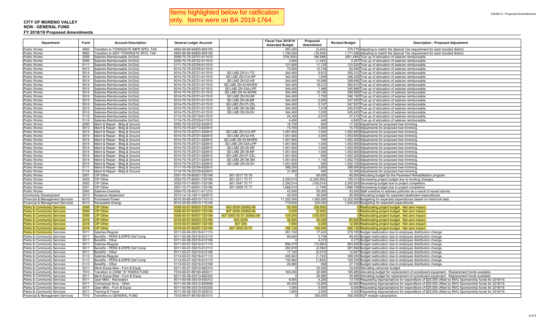|  | Items highlighted below for ratification |
|--|------------------------------------------|
|  | only. Items were on BA 2019-1764.        |

#### **CITY OF MORENO VALLEY NON - GENERAL FUNDFY 2018/19 Proposed Amendments**

| Department                                               | Fund         | <b>Account Description</b>                                       | <b>General Ledger Account</b>                      |                         | Fiscal Year 2018/19<br><b>Amended Budget</b> | Proposed<br>Amendment | <b>Revised Budget</b> | <b>Description - Proposed Adjustment</b>                                                                                                                                                                             |
|----------------------------------------------------------|--------------|------------------------------------------------------------------|----------------------------------------------------|-------------------------|----------------------------------------------|-----------------------|-----------------------|----------------------------------------------------------------------------------------------------------------------------------------------------------------------------------------------------------------------|
| Public Works                                             | 4800         | Transfers to TOWNGATE IMPR SPCL TAX                              | 4800-99-99-94800-904105                            |                         | 283,20                                       | (3, 424)              |                       | 279,776 Adjusting to match the Special Tax requirement for each bonded district.                                                                                                                                     |
| <b>Public Works</b>                                      | 4800         | Transfers to 2007 TOWNGATE SPCL TAX                              | 4800-99-99-94800-904106                            |                         | 1.190.000                                    | (18.404)              |                       | 1,171,596 Adjusting to match the Special Tax requirement for each bonded district.                                                                                                                                   |
| Public Works                                             | 2006         | Salaries-Reimbursable (In/Out)                                   | 2006-70-79-25701-611510                            |                         | (754, 500)                                   | (96, 948)             |                       | (851,448) True up of allocation of salaries reimbursable.                                                                                                                                                            |
| Public Works                                             | 2050         | Salaries-Reimbursable (In/Out)                                   | 2050-70-79-25722-611510                            |                         | 3.600                                        | (1, 343)              |                       | 2.257 True up of allocation of salaries reimbursable.                                                                                                                                                                |
| Public Works                                             | 5111         | Salaries-Reimbursable (In/Out)                                   | 5111-70-79-25704-611510                            |                         | 121,800                                      | 11,725                |                       | 133,525 True up of allocation of salaries reimbursable                                                                                                                                                               |
| Public Works                                             | 5013         | Salaries-Reimbursable (In/Out)                                   | 5013-70-79-25705-611510                            |                         | 72,80                                        | 10,749                |                       | 83,549 True up of allocation of salaries reimbursable                                                                                                                                                                |
| Public Works                                             | 5014         | Salaries-Reimbursable (In/Out)                                   | 5014-70-79-25721-611510                            | SD LMD ZN 01-TG         | 344,400                                      | 5,912                 |                       | 350,312 True up of allocation of salaries reimbursable                                                                                                                                                               |
| Public Works                                             | 5014         | Salaries-Reimbursable (In/Out)                                   | 5014-70-79-25721-611510                            | SD LMD ZN 01A-RP        | 344,400                                      | 1,839                 |                       | 346,239 True up of allocation of salaries reimbursable.                                                                                                                                                              |
| Public Works                                             | 5014         | Salaries-Reimbursable (In/Out)                                   | 5014-70-79-25721-611510                            | SD LMD ZN 02-HS         | 344,400                                      | 15,090                |                       | 359,490 True up of allocation of salaries reimbursable                                                                                                                                                               |
| Public Works                                             | 5014         | Salaries-Reimbursable (In/Out)                                   | 5014-70-79-25721-611510                            | SD LMD ZN 03-MVRW       | 344,400                                      | 18,212                |                       | 362,612 True up of allocation of salaries reimbursable                                                                                                                                                               |
| Public Works                                             | 5014         | Salaries-Reimbursable (In/Out)                                   | 5014-70-79-25721-611510                            | SD LMD ZN 03A-LPP       | 344,40                                       | 1,466                 |                       | 345,866 True up of allocation of salaries reimbursable                                                                                                                                                               |
| Public Works                                             | 5014         | Salaries-Reimbursable (In/Out)                                   | 5014-70-79-25721-611510                            | SD LMD ZN 04-MVRE       | 344,400                                      | 15,185                |                       | 359,585 True up of allocation of salaries reimbursable                                                                                                                                                               |
| <b>Public Works</b>                                      | 5014         | Salaries-Reimbursable (In/Out)                                   | 5014-70-79-25721-611510                            | SD LMD ZN 05-SR         | 344,400                                      | 1,750                 |                       | 346,150 True up of allocation of salaries reimbursable                                                                                                                                                               |
| Public Works                                             | 5014         | Salaries-Reimbursable (In/Out)                                   | 5014-70-79-25721-611510                            | SD LMD ZN 06-MF         | 344,400                                      | 2,850                 |                       | 347,250 True up of allocation of salaries reimbursable                                                                                                                                                               |
| Public Works                                             | 5014         | Salaries-Reimbursable (In/Out)                                   | 5014-70-79-25721-611510                            | SD LMD ZN 07-CEL        | 344,400                                      | 3,107                 |                       | 347,507 True up of allocation of salaries reimbursable                                                                                                                                                               |
| Public Works                                             | 5014         | Salaries-Reimbursable (In/Out)                                   | 5014-70-79-25721-611510                            | SD LMD ZN 08-SM         | 344,400<br>344,400                           | 1,418                 |                       | 345,818 True up of allocation of salaries reimbursable.                                                                                                                                                              |
| <b>Public Works</b>                                      | 5014<br>5112 | Salaries-Reimbursable (In/Out)<br>Salaries-Reimbursable (In/Out) | 5014-70-79-25721-611510<br>5112-70-79-25719-611510 | SD LMD ZN 09-SV         | 24,300                                       | 1,025<br>2,910        | 345.425               | True up of allocation of salaries reimbursable<br>27.210 True up of allocation of salaries reimbursable                                                                                                              |
| Public Works                                             | 5114         |                                                                  |                                                    |                         | 4,400                                        | 445                   |                       |                                                                                                                                                                                                                      |
| Public Works<br><b>Public Works</b>                      | 2050         | Salaries-Reimbursable (In/Out)<br>Maint & Repair - Bldg & Ground | 5114-70-79-25720-611510<br>2050-70-79-25722-620910 |                         | 16,730                                       | 600                   |                       | 4,845 True up of allocation of salaries reimbursable.<br>17,330 Adjustments for proposed tree trimming.                                                                                                              |
| Public Works                                             | 5013         | Maint & Repair - Bldg & Ground                                   | 5013-70-79-25713-620910                            |                         | 73,700                                       | 1,000                 |                       | 74,700 Adjustments for proposed tree trimming.                                                                                                                                                                       |
| Public Works                                             | 5014         | Maint & Repair - Bldg & Ground                                   | 5014-70-79-25721-620910                            | SD LMD ZN 01A-RP        | 1,451,60                                     | 1,000                 |                       | 1,452,600 Adjustments for proposed tree trimming.                                                                                                                                                                    |
| <sup>o</sup> ublic Works                                 | 5014         | Maint & Repair - Bldg & Ground                                   | 5014-70-79-25721-620910                            | SD LMD ZN 02-HS         | 1,451,600                                    | 2,000                 |                       | 1,453,600 Adjustments for proposed tree trimming                                                                                                                                                                     |
| Public Works                                             | 5014         | Maint & Repair - Bldg & Ground                                   | 5014-70-79-25721-620910                            | SD LMD ZN 03-MVRW       | 1,451,600                                    | 700                   |                       | 1,452,300 Adjustments for proposed tree trimming                                                                                                                                                                     |
| Public Works                                             | 5014         | Maint & Repair - Bldg & Ground                                   | 5014-70-79-25721-620910                            | SD LMD ZN 03A-LPP       | 1,451,600                                    | 1,000                 |                       | 1,452,600 Adjustments for proposed tree trimming                                                                                                                                                                     |
| Public Works                                             | 5014         | Maint & Repair - Bldg & Ground                                   | 5014-70-79-25721-620910                            | SD LMD ZN 05-SR         | 1,451,60                                     | 1,000                 |                       | 1,452,600 Adjustments for proposed tree trimming                                                                                                                                                                     |
| Public Works                                             | 5014         | Maint & Repair - Bldg & Ground                                   | 5014-70-79-25721-620910                            | SD LMD ZN 06-MF         | 1,451,600                                    | 1,000                 |                       | 1,452,600 Adjustments for proposed tree trimming                                                                                                                                                                     |
| Public Works                                             | 5014         | Maint & Repair - Bldg & Ground                                   | 5014-70-79-25721-620910                            | SD LMD ZN 07-CEL        | 1,451,600                                    | 60 <sub>C</sub>       |                       | 1.452.200 Adjustments for proposed tree trimming                                                                                                                                                                     |
| Public Works                                             | 5014         | Maint & Repair - Bldg & Ground                                   | 5014-70-79-25721-620910                            | SD LMD ZN 08-SM         | 1,451,600                                    | 1,100                 |                       | 1,452,700 Adjustments for proposed tree trimming                                                                                                                                                                     |
| Public Works                                             | 5014         | Maint & Repair - Bldg & Ground                                   | 5014-70-79-25721-620910                            | SD LMD ZN 09-SV         | 1,451,600                                    | 500                   |                       | 1,452,100 Adjustments for proposed tree trimming                                                                                                                                                                     |
| Public Works                                             | 5111         | Maint & Repair - Bldg & Ground                                   | 5111-70-79-25704-620910                            |                         | 386,300                                      | 3,600                 |                       | 389,900 Adjustments for proposed tree trimming                                                                                                                                                                       |
| Public Works                                             | 5114         | Maint & Repair - Bldg & Ground                                   | 5114-70-79-25720-620910                            |                         | 31,900                                       | 400                   |                       | 32,300 Adjustments for proposed tree trimming                                                                                                                                                                        |
| Public Works                                             | 2001         | CIP Other                                                        | 2001-70-78-80001-720199                            | 801 0017 70 78          |                                              | 60,000                |                       | 60,000 Allocating budget for the Pavement Rehabilitation program.                                                                                                                                                    |
| Public Works                                             | 3002         | CIP Other                                                        | 3002-70-77-80001-720199                            | 801 0011 70 77          | 2,350,014                                    | (2, 200, 000)         |                       | 150,014 Decreasing project budget due to funding changes.                                                                                                                                                            |
| Public Works                                             | 3002         | CIP Other                                                        | 3002-70-77-80001-720199                            | 801 0047 70 77          | 2.350.01                                     | (150, 014)            |                       | 2,200,000 Decreasing budget due to project completion.                                                                                                                                                               |
| Public Works                                             | 2001         | <b>CIP Other</b>                                                 | 2001-70-77-80001-720199                            | 801 0009 70 77          | 1,668,51                                     | (1.746)               |                       | 1,666,769 Decreasing budget due to project completion                                                                                                                                                                |
| Public Works                                             | 2000         | Salaries-Overtime                                                | 2000-70-78-45311-611210                            |                         | 43,00                                        | 50,000                |                       | 93,000 Staff overtime to address potholes as a result of recent storms.                                                                                                                                              |
| Community Development                                    | 2013         | Nuisance Abatement                                               | 2013-14-10-14011-625015                            |                         | 45,000                                       | 40,00                 |                       | 85,000 Allocating budget for expected abatement expenditures.                                                                                                                                                        |
| Financial & Management Services                          | 6010         | <b>Purchased Power</b>                                           | 6010-30-80-45510-710110                            |                         | 11,322,00                                    | 1,000,000             |                       | 12,322,000 Budgeting for expected expenditures based on historical data.                                                                                                                                             |
| Financial & Management Services                          | 6010         | Renewable Energy                                                 | 6010-30-80-45510-710148                            |                         | 719,600                                      | 325,000               |                       | 1,044,600 Budgeting for expected expenditures                                                                                                                                                                        |
| Parks & Community Services                               | 3006         | <b>CIP Other</b>                                                 | 3006-50-57-80003-720199                            | 803 0030-3006Q-99       | 50,00                                        | (50,000)              |                       | 0 Reallocating project budget. Net zero impact.                                                                                                                                                                      |
| Parks & Community Services                               | 3006         | <b>CIP Other</b>                                                 | 3006-50-57-80007-720199                            | 807 0045-3006Q-99       | 5.000                                        | (5.000)               |                       | 0 Reallocating project budget. Net zero impact.                                                                                                                                                                      |
| Parks & Community Services                               | 3006         | <b>CIP Other</b>                                                 | 3006-50-57-80007-720199                            | 807 0005 50 57-3006Q-99 | 100,00                                       | (100, 000)            |                       | 0 Reallocating project budget. Net zero impact.                                                                                                                                                                      |
| Parks & Community Services                               | 3016         | <b>CIP Other</b>                                                 | 3016-50-57-80003-720199                            | 803 0030                | 30,92                                        | 50,00                 |                       | 80,925 Reallocating project budget. Net zero impact.                                                                                                                                                                 |
| Parks & Community Services                               | 3016         | <b>CIP</b> Other                                                 | 3016-50-57-80007-720199                            | 807 004                 | 7.85                                         | 5,00                  |                       | 12,850 Reallocating project budget. Net zero impact.                                                                                                                                                                 |
| Parks & Community Services                               | 3016         | <b>CIP Other</b>                                                 | 3016-50-57-80007-720199                            | 807 0005 50 57          | 186,12                                       | 100,00                |                       | 286,120 Reallocating project budget. Net zero impact.                                                                                                                                                                |
| Parks & Community Services                               | 5011         | Salaries-Regular                                                 | 5011-50-58-35318-611110                            |                         | 261,742                                      | 17,423                |                       | 279,165 Budget reallocation due to employee distribution change                                                                                                                                                      |
| Parks & Community Services                               | 5011         | Benefits - PERS & ERPD Def Comp                                  | 5011-50-58-35318-612110                            |                         | 85,68                                        | 3,73                  |                       | 89,420 Budget reallocation due to employee distribution change                                                                                                                                                       |
| Parks & Community Services                               | 5011         | Benefits - Other                                                 | 5011-50-58-35318-612199                            |                         |                                              | 4,215                 |                       | 4,215 Budget reallocation due to employee distribution change                                                                                                                                                        |
| Parks & Community Services                               | 5011         | Salaries-Regular                                                 | 5011-50-57-35210-611110                            |                         | 899,375                                      | (15, 680)             |                       | 883,695 Budget reallocation due to employee distribution change                                                                                                                                                      |
| Parks & Community Services                               | 5011         | Benefits - PERS & ERPD Def Comp                                  | 5011-50-57-35210-612110                            |                         | 293,978                                      | (2,084)               |                       | 291,894 Budget reallocation due to employee distribution change                                                                                                                                                      |
| Parks & Community Services                               | 5011         | Benefits - Other                                                 | 5011-50-57-35210-612199                            |                         | 17.720                                       | (5,073)               |                       | 12,647 Budget reallocation due to employee distribution change                                                                                                                                                       |
| Parks & Community Services                               | 5113         | Salaries-Regular                                                 | 5113-50-57-35216-611110                            |                         | 400,943                                      | (1,743)               |                       | 399,200 Budget reallocation due to employee distribution change                                                                                                                                                      |
| Parks & Community Services                               | 5113         | Benefits - PERS & ERPD Def Comp                                  | 5113-50-57-35216-612110                            |                         | 130,98                                       | (1,652)               |                       | 129,330 Budget reallocation due to employee distribution change                                                                                                                                                      |
| Parks & Community Services                               | 5113         | Benefits - Other                                                 | 5113-50-57-35216-612199                            |                         | 26,880                                       | 858                   |                       | 27,738 Budget reallocation due to employee distribution change                                                                                                                                                       |
| Parks & Community Services                               | 5211         | Mach-Equip-New - Furn & Equip                                    | 5211-50-57-35210-660310                            |                         |                                              | 33,000                |                       | 33,000 Allocating carryover budget                                                                                                                                                                                   |
| Parks & Community Services                               | 7510         | Transfers to ZONE "A" PARKS FUND                                 | 7510-99-97-88190-905011                            |                         | 165,000                                      | 20,985                |                       | 185,985 Allocating budget for replacement of scoreboard equipment. Replacement funds available.                                                                                                                      |
| Parks & Community Services                               | 5011         | Mach-Equip-Repl - Furn & Equip                                   | 5011-50-58-35313-660320                            |                         |                                              | 20,985                |                       | 20,985 Allocating budget for replacement of scoreboard equipment. Replacement funds available.                                                                                                                       |
| Parks & Community Services                               | 5011         | Oper Mtrls - Recreation                                          | 5011-50-58-35310-630312                            |                         | 9,500                                        | 4,200                 |                       | 13,700 Requesting Appropriations for expenditure of \$25,000 offset by MVU Sponsorship funds for 2018/19.                                                                                                            |
| Parks & Community Services<br>Parks & Community Services | 5011<br>5011 | Contractual Svcs - Other<br>Oper Mtrls - Furn & Equip            | 5011-50-58-35312-625099<br>5011-50-58-35313-630330 |                         | 40,000<br>1,000                              | 12,800<br>5,500       |                       | 52,800 Requesting Appropriations for expenditure of \$25,000 offset by MVU Sponsorship funds for 2018/19.<br>6,500 Requesting Appropriations for expenditure of \$25,000 offset by MVU Sponsorship funds for 2018/19 |
| Parks & Community Services                               | 5011         | Training & Travel                                                | 5011-50-58-35315-620510                            |                         | 1,800                                        | 2,500                 |                       | 4,300 Requesting Appropriations for expenditure of \$25,000 offset by MVU Sponsorship funds for 2018/19                                                                                                              |
| Financial & Management Services                          | 7510         | Transfers to GENERAL FUND                                        | 7510-99-97-88190-901010                            |                         |                                              | 350,000               |                       | 350,000 ACP module subscription                                                                                                                                                                                      |
|                                                          |              |                                                                  |                                                    |                         |                                              |                       |                       |                                                                                                                                                                                                                      |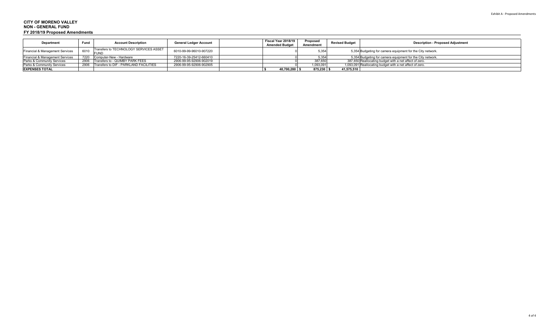| <b>Department</b>               | Fund | <b>Account Description</b>                  | <b>General Ledger Account</b> | Fiscal Year 2018/19<br><b>Amended Budget</b> | Proposed<br>Amendment | <b>Revised Budget</b> | <b>Description - Proposed Adjustment</b>                   |
|---------------------------------|------|---------------------------------------------|-------------------------------|----------------------------------------------|-----------------------|-----------------------|------------------------------------------------------------|
| Financial & Management Services | 6010 | Transfers to TECHNOLOGY SERVICES ASSET      | 6010-99-99-96010-907220       |                                              | 5.354                 |                       | 5,354 Budgeting for camera equipment for the City network. |
| Financial & Management Services |      | 7220 Computer-New - Hardware                | 7220-16-39-25412-660410       |                                              | 535                   |                       | 5,354 Budgeting for camera equipment for the City network. |
| Parks & Community Services      |      | 2906 Transfers to - QUIMBY PARK FEES        | 2906-99-95-92906-902019       |                                              | 387,650               |                       | 387,650 Reallocating budget with a net affect of zero.     |
| Parks & Community Services      |      | 2906 Transfers to DIF - PARKLAND FACILITIES | 2906-99-95-92906-902905       |                                              | 1,093,091             |                       | 1,093,091 Reallocating budget with a net affect of zero.   |
| <b>EXPENSES TOTAL</b>           |      |                                             |                               | 40,700,280                                   | 875.230               | 41,575,510            |                                                            |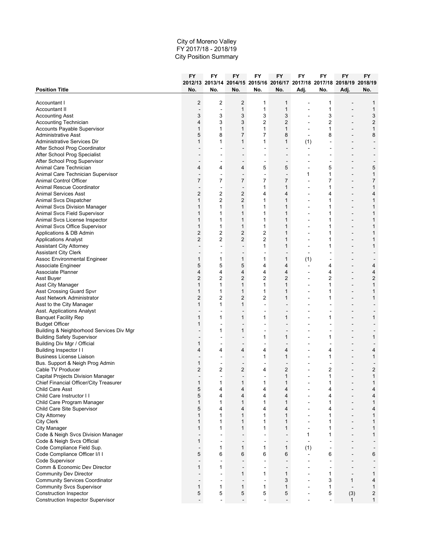|                                          | FY             | FY                       | <b>FY</b>                | FY                                                                      | FY             | FY                       | FY                       | <b>FY</b>                | <b>FY</b>      |
|------------------------------------------|----------------|--------------------------|--------------------------|-------------------------------------------------------------------------|----------------|--------------------------|--------------------------|--------------------------|----------------|
|                                          |                |                          |                          | 2012/13 2013/14 2014/15 2015/16 2016/17 2017/18 2017/18 2018/19 2018/19 |                |                          |                          |                          |                |
| <b>Position Title</b>                    | No.            | No.                      | No.                      | No.                                                                     | No.            | Adj.                     | No.                      | Adj.                     | No.            |
| Accountant I                             | 2              | $\overline{2}$           | 2                        | 1                                                                       | 1              |                          | 1                        |                          | 1              |
| Accountant II                            |                | $\ddot{\phantom{a}}$     | $\mathbf{1}$             | 1                                                                       | $\mathbf{1}$   | $\overline{\phantom{a}}$ | 1                        | $\overline{\phantom{a}}$ | $\mathbf{1}$   |
| <b>Accounting Asst</b>                   | 3              | 3                        | 3                        | 3                                                                       | 3              |                          | 3                        |                          | 3              |
| Accounting Technician                    | 4              | 3                        | 3                        | $\overline{2}$                                                          | $\overline{2}$ | $\blacksquare$           | $\overline{2}$           | $\blacksquare$           | $\overline{c}$ |
| Accounts Payable Supervisor              | 1              | 1                        | $\mathbf{1}$             | 1                                                                       | $\mathbf{1}$   |                          | 1                        |                          | $\mathbf{1}$   |
| <b>Administrative Asst</b>               | 5              | 8                        | 7                        | $\overline{7}$                                                          | 8              |                          | 8                        |                          | 8              |
| Administrative Services Dir              | 1              | 1                        | $\mathbf{1}$             | 1                                                                       | 1              | (1)                      | ÷.                       | $\blacksquare$           |                |
| After School Prog Coordinator            |                |                          |                          |                                                                         |                | $\blacksquare$           |                          |                          |                |
| After School Prog Specialist             |                |                          |                          |                                                                         |                |                          |                          |                          |                |
| After School Prog Supervisor             |                |                          | $\blacksquare$           | $\blacksquare$                                                          | $\blacksquare$ |                          | $\overline{\phantom{a}}$ |                          |                |
| Animal Care Technician                   | 4              | 4                        | 4                        | 5                                                                       | 5              | ÷,                       | 5                        |                          | 5              |
| Animal Care Technician Supervisor        |                | ٠                        | $\overline{\phantom{a}}$ | $\overline{a}$                                                          | $\overline{a}$ | 1                        | 1                        | $\overline{\phantom{a}}$ | 1              |
| Animal Control Officer                   | 7              | 7                        | $\overline{7}$           | 7                                                                       | $\overline{7}$ | ÷,                       | 7                        | $\blacksquare$           | $\overline{7}$ |
| Animal Rescue Coordinator                | $\blacksquare$ | $\overline{\phantom{a}}$ | $\overline{\phantom{a}}$ | 1                                                                       | $\mathbf{1}$   | $\blacksquare$           | 1                        | $\overline{\phantom{a}}$ | $\mathbf{1}$   |
| <b>Animal Services Asst</b>              | 2              | 2                        | 2                        | 4                                                                       | $\overline{4}$ |                          | 4                        |                          | 4              |
| Animal Svcs Dispatcher                   | 1              | $\overline{2}$           | $\overline{2}$           | 1                                                                       | $\mathbf{1}$   | ÷                        | 1                        | $\overline{\phantom{a}}$ | $\mathbf{1}$   |
| Animal Svcs Division Manager             | 1              | 1                        | 1                        | 1                                                                       | 1              | $\blacksquare$           | 1                        | $\blacksquare$           | $\mathbf{1}$   |
| Animal Svcs Field Supervisor             | 1              | 1                        | 1                        | 1                                                                       | 1              |                          | 1                        |                          | $\mathbf{1}$   |
| Animal Svcs License Inspector            | 1              | 1                        | 1                        | 1                                                                       | 1              | $\blacksquare$           | 1                        | $\blacksquare$           | 1              |
| Animal Svcs Office Supervisor            | 1              | 1                        | 1                        | 1                                                                       | $\mathbf{1}$   |                          | 1                        | $\overline{a}$           | 1              |
| Applications & DB Admin                  | 2              | 2                        | 2                        | $\overline{\mathbf{c}}$                                                 | $\mathbf{1}$   | $\overline{\phantom{a}}$ | 1                        | $\overline{\phantom{a}}$ | $\mathbf{1}$   |
| <b>Applications Analyst</b>              | $\overline{c}$ | 2                        | $\overline{2}$           | $\overline{2}$                                                          | $\mathbf{1}$   |                          | 1                        | $\blacksquare$           | $\mathbf{1}$   |
| <b>Assistant City Attorney</b>           | $\blacksquare$ | $\overline{a}$           | $\overline{a}$           | 1                                                                       | 1              | $\overline{a}$           | 1                        | $\overline{a}$           | $\mathbf{1}$   |
| <b>Assistant City Clerk</b>              |                |                          |                          | $\overline{\phantom{a}}$                                                |                |                          |                          |                          |                |
| Assoc Environmental Engineer             | 1              | 1                        | 1                        | 1                                                                       | $\mathbf{1}$   | (1)                      |                          |                          |                |
| Associate Engineer                       | 5              | 5                        | 5                        | 4                                                                       | $\overline{4}$ | $\sim$                   | 4                        | $\blacksquare$           | 4              |
| Associate Planner                        | 4              | 4                        | 4                        | 4                                                                       | $\overline{4}$ | $\blacksquare$           | 4                        |                          | 4              |
| Asst Buyer                               | 2              | 2                        | 2                        | $\overline{2}$                                                          | $\overline{2}$ | ä,                       | 2                        | $\blacksquare$           | $\overline{c}$ |
| Asst City Manager                        | 1              | 1                        | 1                        | 1                                                                       | $\mathbf{1}$   | $\overline{a}$           | $\mathbf{1}$             | $\overline{a}$           | $\mathbf{1}$   |
| <b>Asst Crossing Guard Spvr</b>          | 1              | 1                        | $\mathbf{1}$             | 1                                                                       | $\mathbf{1}$   |                          | 1                        |                          | $\mathbf{1}$   |
| Asst Network Administrator               | 2              | 2                        | 2                        | 2                                                                       | 1              | $\blacksquare$           | 1                        | $\overline{\phantom{a}}$ | $\mathbf{1}$   |
| Asst to the City Manager                 | 1              | 1                        | 1                        | $\sim$                                                                  |                |                          |                          | $\overline{\phantom{a}}$ |                |
| Asst. Applications Analyst               |                |                          |                          |                                                                         |                |                          |                          |                          |                |
| <b>Banquet Facility Rep</b>              | 1              | 1                        | 1                        | 1                                                                       | 1              |                          | 1                        |                          | 1              |
| <b>Budget Officer</b>                    | 1              | $\overline{\phantom{a}}$ | $\blacksquare$           | $\blacksquare$                                                          | $\blacksquare$ |                          |                          | $\overline{\phantom{a}}$ |                |
| Building & Neighborhood Services Div Mgr |                | 1                        | 1                        |                                                                         |                |                          |                          |                          |                |
| <b>Building Safety Supervisor</b>        |                |                          |                          | 1                                                                       | $\mathbf{1}$   |                          | 1                        |                          | 1              |
| Building Div Mgr / Official              | 1              | $\overline{\phantom{a}}$ | $\blacksquare$           | $\sim$                                                                  | $\blacksquare$ | $\blacksquare$           | $\overline{\phantom{a}}$ | $\overline{\phantom{a}}$ |                |
| Building Inspector I I                   | 4              | 4                        | 4                        | 4                                                                       | $\overline{4}$ |                          | 4                        |                          | 4              |
| <b>Business License Liaison</b>          |                |                          |                          | 1                                                                       | $\mathbf{1}$   |                          | $\mathbf{1}$             | $\blacksquare$           | $\mathbf{1}$   |
| Bus. Support & Neigh Prog Admin          | 1              | $\overline{\phantom{a}}$ | $\blacksquare$           | $\blacksquare$                                                          | $\blacksquare$ |                          | $\overline{\phantom{a}}$ |                          |                |
| Cable TV Producer                        | 2              | 2                        | 2                        | 4                                                                       | $\overline{2}$ |                          | 2                        |                          | $\overline{c}$ |
| Capital Projects Division Manager        |                | $\overline{\phantom{a}}$ | $\blacksquare$           | $\blacksquare$                                                          | 1              |                          | $\mathbf{1}$             | $\blacksquare$           | $\mathbf{1}$   |
| Chief Financial Officer/City Treasurer   | 1              | 1                        | 1                        | 1                                                                       | 1              |                          |                          |                          | 1              |
| <b>Child Care Asst</b>                   | 5              | 4                        | 4                        | 4                                                                       | 4              | $\blacksquare$           | 4                        | $\blacksquare$           | 4              |
| Child Care Instructor I I                | 5              | 4                        | 4                        | 4                                                                       | 4              |                          | 4                        |                          | 4              |
| Child Care Program Manager               | $\mathbf{1}$   | 1                        | $\mathbf{1}$             | 1                                                                       | $\mathbf{1}$   | $\blacksquare$           | $\mathbf{1}$             | $\blacksquare$           | $\mathbf{1}$   |
| Child Care Site Supervisor               | 5              | 4                        | 4                        | 4                                                                       | $\overline{4}$ | $\blacksquare$           | 4                        | $\blacksquare$           | 4              |
| <b>City Attorney</b>                     | $\mathbf{1}$   | 1                        | $\mathbf{1}$             | 1                                                                       | $\mathbf{1}$   |                          | 1                        |                          | $\mathbf{1}$   |
| <b>City Clerk</b>                        | 1              | 1                        | 1                        | 1                                                                       | $\mathbf{1}$   | $\overline{a}$           | 1                        | $\overline{\phantom{a}}$ | 1              |
| City Manager                             | 1              | 1                        | 1                        | 1                                                                       | $\mathbf{1}$   | $\blacksquare$           | 1                        | $\overline{a}$           | 1              |
| Code & Neigh Svcs Division Manager       |                | $\overline{\phantom{a}}$ |                          | $\overline{a}$                                                          |                | 1                        | 1                        | $\overline{\phantom{a}}$ | $\mathbf{1}$   |
| Code & Neigh Svcs Official               | 1              | ä,                       |                          | $\overline{a}$                                                          | -              |                          |                          |                          |                |
| Code Compliance Field Sup.               | $\blacksquare$ | 1                        | 1                        | 1                                                                       | $\mathbf{1}$   | (1)                      | $\sim$                   | $\overline{a}$           | $\blacksquare$ |
| Code Compliance Officer I/I I            | 5              | 6                        | 6                        | 6                                                                       | 6              | $\blacksquare$           | 6                        |                          | 6              |
| Code Supervisor                          | ä,             | $\overline{\phantom{a}}$ |                          | $\blacksquare$                                                          | ä,             |                          | ÷,                       | $\blacksquare$           |                |
| Comm & Economic Dev Director             | 1              | 1                        | $\blacksquare$           | $\sim$                                                                  | $\blacksquare$ |                          | $\blacksquare$           | $\blacksquare$           |                |
| <b>Community Dev Director</b>            |                |                          | $\mathbf{1}$             | 1                                                                       | $\mathbf{1}$   |                          | 1                        | $\overline{\phantom{a}}$ | $\mathbf{1}$   |
| <b>Community Services Coordinator</b>    | $\blacksquare$ | $\overline{\phantom{a}}$ | $\overline{a}$           | $\ddot{\phantom{a}}$                                                    | 3              | $\blacksquare$           | 3                        | $\mathbf{1}$             | 4              |
| <b>Community Svcs Supervisor</b>         | 1              | 1                        | 1                        | 1                                                                       | $\mathbf{1}$   |                          | 1                        | $\blacksquare$           | $\mathbf{1}$   |
| <b>Construction Inspector</b>            | 5              | 5                        | 5                        | 5                                                                       | 5              |                          | 5                        | (3)                      | $\overline{c}$ |
| <b>Construction Inspector Supervisor</b> |                | $\overline{a}$           | $\blacksquare$           | $\blacksquare$                                                          | $\overline{a}$ | ä,                       | $\blacksquare$           | 1                        | $\mathbf{1}$   |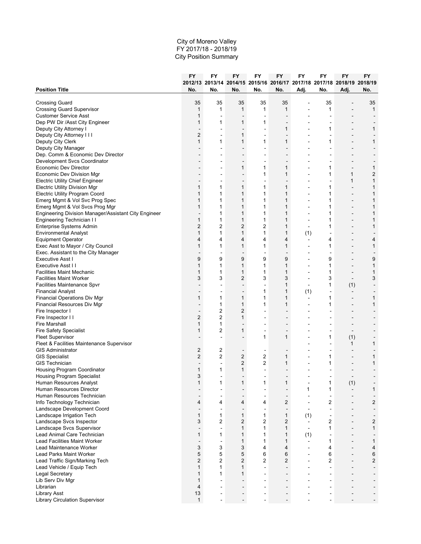|                                                                                | FY             | FY                       | <b>FY</b>      | FY                                                                             | FY                           | FY                       | FY                       | FY                       | FY                |
|--------------------------------------------------------------------------------|----------------|--------------------------|----------------|--------------------------------------------------------------------------------|------------------------------|--------------------------|--------------------------|--------------------------|-------------------|
|                                                                                | No.            | No.                      | No.            | 2012/13 2013/14 2014/15 2015/16 2016/17 2017/18 2017/18 2018/19 2018/19<br>No. | No.                          |                          |                          |                          |                   |
| <b>Position Title</b>                                                          |                |                          |                |                                                                                |                              | Adj.                     | No.                      | Adj.                     | No.               |
| <b>Crossing Guard</b>                                                          | 35             | 35                       | 35             | 35                                                                             | 35                           |                          | 35                       |                          | 35                |
| <b>Crossing Guard Supervisor</b>                                               | $\mathbf{1}$   | 1                        | $\mathbf{1}$   | 1                                                                              | $\mathbf{1}$                 |                          | 1                        |                          | $\mathbf{1}$      |
| <b>Customer Service Asst</b>                                                   | $\mathbf{1}$   |                          |                |                                                                                |                              |                          |                          |                          |                   |
| Dep PW Dir /Asst City Engineer                                                 | 1              | 1                        | 1              | 1                                                                              |                              |                          |                          |                          |                   |
| Deputy City Attorney I                                                         |                |                          | $\blacksquare$ | $\overline{a}$                                                                 | $\mathbf{1}$                 |                          | 1                        |                          | $\mathbf{1}$      |
| Deputy City Attorney III                                                       | $\overline{2}$ |                          | 1              | $\blacksquare$                                                                 |                              |                          |                          |                          |                   |
| Deputy City Clerk                                                              | 1              | 1                        | 1              | 1                                                                              | $\mathbf{1}$                 | $\overline{\phantom{0}}$ | 1                        | $\blacksquare$           | 1                 |
| Deputy City Manager                                                            |                |                          |                |                                                                                |                              |                          |                          |                          |                   |
| Dep. Comm & Economic Dev Director                                              |                |                          |                |                                                                                |                              |                          |                          |                          |                   |
| Development Svcs Coordinator                                                   |                |                          | $\blacksquare$ | $\overline{\phantom{a}}$                                                       | $\overline{a}$               |                          |                          |                          |                   |
| Economic Dev Director                                                          |                |                          | 1              | 1                                                                              | $\mathbf{1}$                 |                          | 1                        |                          | 1                 |
| Economic Dev Division Mgr                                                      |                |                          |                | 1<br>$\blacksquare$                                                            | $\mathbf{1}$                 |                          | 1<br>$\overline{a}$      | 1<br>1                   | $\overline{c}$    |
| <b>Electric Utility Chief Engineer</b><br><b>Electric Utility Division Mgr</b> | 1              | 1                        | 1              | 1                                                                              | $\mathbf{1}$                 |                          | 1                        |                          | 1<br>$\mathbf{1}$ |
| <b>Electric Utility Program Coord</b>                                          | $\mathbf{1}$   | 1                        | $\mathbf{1}$   | 1                                                                              | 1                            |                          | 1                        |                          | 1                 |
| Emerg Mgmt & Vol Svc Prog Spec                                                 | 1              | 1                        | $\mathbf{1}$   | 1                                                                              | $\mathbf{1}$                 | $\overline{a}$           | 1                        | $\overline{a}$           | 1                 |
| Emerg Mgmt & Vol Svcs Prog Mgr                                                 | 1              | 1                        | 1              | 1                                                                              | $\mathbf{1}$                 |                          | 1                        |                          | $\mathbf{1}$      |
| Engineering Division Manager/Assistant City Engineer                           |                | 1                        | $\mathbf{1}$   | 1                                                                              | 1                            |                          | 1                        |                          | 1                 |
| Engineering Technician II                                                      | 1              | 1                        | 1              | 1                                                                              | 1                            | $\overline{a}$           | 1                        | $\blacksquare$           | 1                 |
| Enterprise Systems Admin                                                       | $\overline{2}$ | 2                        | $\overline{2}$ | $\overline{2}$                                                                 | 1                            |                          | 1                        |                          | $\mathbf{1}$      |
| <b>Environmental Analyst</b>                                                   | $\mathbf{1}$   | 1                        | $\mathbf{1}$   | $\mathbf{1}$                                                                   | $\mathbf{1}$                 | (1)                      |                          |                          |                   |
| <b>Equipment Operator</b>                                                      | 4              | 4                        | 4              | 4                                                                              | $\overline{4}$               | $\overline{\phantom{a}}$ | 4                        | $\blacksquare$           | 4                 |
| Exec Asst to Mayor / City Council                                              | 1              | 1                        | 1              | 1                                                                              | $\mathbf{1}$                 |                          | 1                        |                          | 1                 |
| Exec. Assistant to the City Manager                                            |                |                          | $\blacksquare$ | $\blacksquare$                                                                 | $\blacksquare$               | $\blacksquare$           | $\blacksquare$           | $\blacksquare$           |                   |
| Executive Asst I                                                               | 9              | 9                        | 9              | 9                                                                              | 9                            |                          | 9                        |                          | 9                 |
| Executive Asst II                                                              | 1              | 1                        | 1              | 1                                                                              | $\mathbf{1}$                 |                          | 1                        |                          | 1                 |
| <b>Facilities Maint Mechanic</b>                                               | $\mathbf{1}$   | 1                        | $\mathbf{1}$   | $\mathbf{1}$                                                                   | $\mathbf{1}$                 |                          | $\mathbf{1}$             | $\blacksquare$           | 1                 |
| <b>Facilities Maint Worker</b>                                                 | 3              | 3                        | $\overline{2}$ | 3                                                                              | 3                            |                          | 3                        | $\overline{\phantom{a}}$ | 3                 |
| Facilities Maintenance Spvr                                                    |                |                          |                |                                                                                | 1                            |                          | 1                        | (1)                      |                   |
| <b>Financial Analyst</b>                                                       |                |                          | $\blacksquare$ | 1                                                                              | 1                            | (1)                      | $\overline{\phantom{a}}$ | $\overline{\phantom{a}}$ |                   |
| Financial Operations Div Mgr                                                   | 1              | 1                        | 1              | 1                                                                              | $\mathbf{1}$                 | $\overline{\phantom{a}}$ | 1                        | $\overline{\phantom{a}}$ | 1                 |
| Financial Resources Div Mgr                                                    | $\overline{a}$ | 1                        | $\mathbf{1}$   | 1                                                                              | $\mathbf{1}$                 | $\overline{a}$           | 1                        | $\blacksquare$           | $\mathbf{1}$      |
| Fire Inspector I                                                               |                | 2                        | 2              |                                                                                |                              |                          |                          |                          |                   |
| Fire Inspector II                                                              | $\overline{2}$ | $\overline{c}$           | $\mathbf{1}$   |                                                                                |                              |                          |                          |                          |                   |
| <b>Fire Marshall</b>                                                           | $\mathbf{1}$   | 1                        | $\blacksquare$ | $\overline{\phantom{a}}$                                                       | $\overline{a}$               |                          |                          | $\blacksquare$           |                   |
| <b>Fire Safety Specialist</b>                                                  | 1              | 2                        | 1              | $\qquad \qquad \blacksquare$                                                   | $\overline{\phantom{a}}$     |                          |                          | $\overline{\phantom{a}}$ |                   |
| <b>Fleet Supervisor</b>                                                        |                | $\overline{\phantom{a}}$ |                | 1                                                                              | 1                            |                          | 1                        | (1)                      |                   |
| Fleet & Facilities Maintenance Supervisor                                      |                |                          |                |                                                                                |                              |                          | $\overline{a}$           | 1                        | 1                 |
| <b>GIS Administrator</b>                                                       | $\overline{c}$ | $\overline{c}$           |                |                                                                                |                              |                          |                          |                          |                   |
| <b>GIS Specialist</b>                                                          | $\overline{2}$ | $\overline{c}$           | $\overline{2}$ | $\overline{c}$                                                                 | 1                            |                          | 1                        |                          | 1                 |
| <b>GIS Technician</b>                                                          |                | $\overline{\phantom{a}}$ | 2              | $\overline{2}$                                                                 | $\mathbf{1}$                 |                          | 1                        |                          | $\mathbf{1}$      |
| Housing Program Coordinator                                                    | 1<br>3         | 1                        | $\mathbf{1}$   |                                                                                |                              |                          |                          |                          |                   |
| Housing Program Specialist                                                     |                | $\blacksquare$           | $\blacksquare$ | $\blacksquare$                                                                 | $\overline{\phantom{a}}$     |                          |                          |                          |                   |
| Human Resources Analyst<br>Human Resources Director                            |                |                          |                |                                                                                |                              | 1                        | 1                        | (1)<br>$\blacksquare$    | 1                 |
| Human Resources Technician                                                     | $\blacksquare$ |                          | $\overline{a}$ | $\overline{a}$                                                                 | $\qquad \qquad \blacksquare$ |                          |                          |                          |                   |
| Info Technology Technician                                                     | 4              | 4                        | 4              | 4                                                                              | $\mathbf{2}$                 | $\overline{\phantom{a}}$ | $\overline{2}$           | $\blacksquare$           | $\overline{c}$    |
| Landscape Development Coord                                                    |                |                          |                |                                                                                |                              |                          | $\blacksquare$           |                          |                   |
| Landscape Irrigation Tech                                                      | $\mathbf{1}$   | 1                        | $\mathbf{1}$   | 1                                                                              | $\mathbf{1}$                 | (1)                      | $\blacksquare$           |                          |                   |
| Landscape Svcs Inspector                                                       | 3              | $\overline{2}$           | $\overline{2}$ | $\overline{c}$                                                                 | $\overline{c}$               |                          | 2                        | $\blacksquare$           | $\overline{c}$    |
| Landscape Svcs Supervisor                                                      |                | $\blacksquare$           | $\mathbf{1}$   | $\mathbf{1}$                                                                   | $\mathbf{1}$                 | $\blacksquare$           | 1                        |                          | $\mathbf{1}$      |
| Lead Animal Care Technician                                                    | 1              | 1                        | $\mathbf{1}$   | $\mathbf{1}$                                                                   | $\mathbf{1}$                 | (1)                      |                          |                          |                   |
| <b>Lead Facilities Maint Worker</b>                                            |                | $\overline{\phantom{a}}$ | $\mathbf{1}$   | 1                                                                              | $\mathbf{1}$                 | $\overline{\phantom{a}}$ | 1                        |                          | 1                 |
| Lead Maintenance Worker                                                        | 3              | 3                        | 3              | 4                                                                              | $\overline{4}$               | $\blacksquare$           | 4                        |                          | 4                 |
| Lead Parks Maint Worker                                                        | 5              | 5                        | 5              | 6                                                                              | 6                            | $\overline{\phantom{a}}$ | 6                        | $\overline{\phantom{a}}$ | 6                 |
| Lead Traffic Sign/Marking Tech                                                 | $\overline{c}$ | $\overline{c}$           | $\overline{2}$ | $\overline{2}$                                                                 | $\overline{c}$               |                          | $\overline{2}$           |                          | $\overline{c}$    |
| Lead Vehicle / Equip Tech                                                      | 1              | 1                        | 1              | $\blacksquare$                                                                 | $\overline{a}$               |                          | ä,                       | $\blacksquare$           | $\overline{a}$    |
| Legal Secretary                                                                | $\mathbf{1}$   | 1                        | $\mathbf{1}$   |                                                                                |                              |                          |                          |                          |                   |
| Lib Serv Div Mgr                                                               | $\mathbf{1}$   |                          |                |                                                                                |                              |                          |                          |                          |                   |
| Librarian                                                                      | 4              | $\overline{a}$           | $\blacksquare$ | $\blacksquare$                                                                 | $\blacksquare$               |                          | $\overline{a}$           |                          |                   |
| Library Asst                                                                   | 13             |                          |                |                                                                                |                              |                          |                          |                          |                   |
| <b>Library Circulation Supervisor</b>                                          | $\mathbf{1}$   |                          | $\blacksquare$ | $\sim$                                                                         |                              |                          |                          |                          | $\blacksquare$    |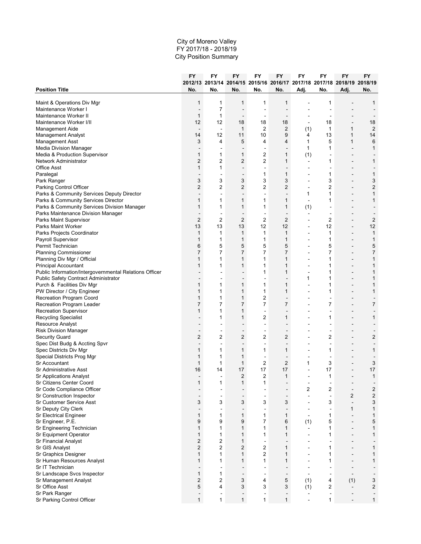|                                                        | FY             | FY                       | <b>FY</b>                | FY                                                                      | FY                           | FY                       | FY                       | <b>FY</b>                    | FY             |
|--------------------------------------------------------|----------------|--------------------------|--------------------------|-------------------------------------------------------------------------|------------------------------|--------------------------|--------------------------|------------------------------|----------------|
|                                                        |                |                          |                          | 2012/13 2013/14 2014/15 2015/16 2016/17 2017/18 2017/18 2018/19 2018/19 |                              |                          |                          |                              |                |
| <b>Position Title</b>                                  | No.            | No.                      | No.                      | No.                                                                     | No.                          | Adj.                     | No.                      | Adj.                         | No.            |
| Maint & Operations Div Mgr                             | 1              | 1                        | 1                        | 1                                                                       | 1                            |                          | 1                        |                              | 1              |
| Maintenance Worker I                                   | $\blacksquare$ | 7                        | L,                       |                                                                         | L,                           |                          |                          |                              |                |
| Maintenance Worker II                                  | 1              | 1                        | $\overline{\phantom{a}}$ | $\sim$                                                                  | $\blacksquare$               |                          | $\overline{\phantom{a}}$ |                              |                |
| Maintenance Worker I/II                                | 12             | 12                       | 18                       | 18                                                                      | 18                           |                          | 18                       |                              | 18             |
| Management Aide                                        | ÷,             | $\blacksquare$           | $\mathbf{1}$             | $\overline{\mathbf{c}}$                                                 | $\overline{c}$               | (1)                      | 1                        | 1                            | $\overline{2}$ |
| Management Analyst                                     | 14             | 12                       | 11                       | 10                                                                      | 9                            | 4                        | 13                       | 1                            | 14             |
| <b>Management Asst</b>                                 | 3              | 4                        | 5                        | 4                                                                       | $\overline{4}$               | 1                        | 5                        | 1                            | 6              |
| <b>Media Division Manager</b>                          |                | $\overline{\phantom{a}}$ | ÷,                       | $\overline{a}$                                                          | $\blacksquare$               | 1                        | 1                        |                              | $\mathbf{1}$   |
| Media & Production Supervisor                          | 1              | 1                        | 1                        | $\overline{c}$                                                          | 1                            | (1)                      | $\overline{\phantom{a}}$ | $\blacksquare$               |                |
| Network Administrator                                  | 2              | 2                        | 2                        | $\overline{2}$                                                          | 1                            | $\sim$                   | 1                        | $\overline{a}$               | 1              |
| <b>Office Asst</b>                                     | 1              | 1                        | L.                       | $\overline{a}$                                                          | $\blacksquare$               | $\blacksquare$           | ä,                       | $\blacksquare$               |                |
| Paralegal                                              | $\sim$         | $\overline{\phantom{a}}$ | $\blacksquare$           | 1                                                                       | 1                            | $\overline{\phantom{a}}$ | 1                        | $\blacksquare$               | 1              |
| Park Ranger                                            | 3              | 3                        | 3                        | 3                                                                       | 3                            | $\blacksquare$           | 3                        | $\overline{a}$               | 3              |
| Parking Control Officer                                | 2              | 2                        | 2                        | $\overline{2}$                                                          | $\overline{2}$               | $\overline{\phantom{a}}$ | 2                        | $\overline{\phantom{a}}$     | $\overline{c}$ |
| Parks & Community Services Deputy Director             |                | $\overline{\phantom{a}}$ | $\blacksquare$           | $\blacksquare$                                                          | $\qquad \qquad \blacksquare$ | 1                        | $\mathbf{1}$             | $\blacksquare$               | $\mathbf{1}$   |
| Parks & Community Services Director                    | 1              | 1                        | 1                        | 1                                                                       | $\mathbf{1}$                 | $\overline{a}$           | 1                        | $\overline{a}$               | 1              |
| Parks & Community Services Division Manager            | 1              | 1                        | $\mathbf{1}$             | 1                                                                       | $\mathbf{1}$                 | (1)                      |                          |                              |                |
| Parks Maintenance Division Manager                     |                | $\overline{\phantom{a}}$ | $\blacksquare$           | $\sim$                                                                  | $\blacksquare$               | $\blacksquare$           | $\overline{\phantom{a}}$ | $\blacksquare$               |                |
| Parks Maint Supervisor                                 | $\overline{2}$ | $\overline{2}$           | $\overline{2}$           | $\overline{2}$                                                          | $\mathbf{2}$                 | $\overline{\phantom{a}}$ | $\overline{2}$           | $\blacksquare$               | $\overline{2}$ |
| Parks Maint Worker                                     | 13             | 13                       | 13                       | 12                                                                      | 12                           | $\blacksquare$           | 12                       |                              | 12             |
|                                                        | 1              | 1                        | 1                        | 1                                                                       | $\mathbf{1}$                 | ä,                       | $\mathbf{1}$             | $\overline{\phantom{a}}$     | $\mathbf{1}$   |
| Parks Projects Coordinator                             | 1              | 1                        | 1                        | 1                                                                       | $\mathbf{1}$                 |                          | 1                        |                              | $\mathbf{1}$   |
| Payroll Supervisor<br>Permit Technician                |                |                          |                          |                                                                         |                              | $\blacksquare$           |                          | $\blacksquare$               |                |
|                                                        | 6              | 5                        | 5                        | 5                                                                       | 5                            |                          | 5                        |                              | 5              |
| <b>Planning Commissioner</b>                           | 7              | 7                        | 7                        | 7                                                                       | 7                            | $\blacksquare$           | 7                        | $\overline{\phantom{a}}$     | $\overline{7}$ |
| Planning Div Mgr / Official                            | 1              | 1                        | 1                        | 1                                                                       | $\mathbf{1}$                 | ٠                        | 1                        | $\blacksquare$               | $\mathbf{1}$   |
| <b>Principal Accountant</b>                            | 1              | 1                        | 1                        | 1                                                                       | 1                            | $\overline{\phantom{a}}$ | 1                        | $\overline{\phantom{a}}$     | $\mathbf{1}$   |
| Public Information/Intergovernmental Relations Officer |                |                          |                          | 1                                                                       | $\mathbf{1}$                 |                          | 1                        | $\blacksquare$               | 1              |
| Public Safety Contract Administrator                   |                |                          | $\blacksquare$           | $\blacksquare$                                                          | $\blacksquare$               | 1                        | 1                        | $\blacksquare$               | 1              |
| Purch & Facilities Div Mgr                             | 1              | 1                        | 1                        | 1                                                                       | $\mathbf{1}$                 | ÷                        | 1                        |                              | $\mathbf{1}$   |
| PW Director / City Engineer                            | 1              | 1                        | 1                        | 1                                                                       | $\mathbf{1}$                 |                          | 1                        |                              | $\mathbf{1}$   |
| Recreation Program Coord                               | 1              | 1                        | 1                        | 2                                                                       | $\overline{\phantom{a}}$     | ٠                        | $\overline{\phantom{a}}$ | $\blacksquare$               |                |
| Recreation Program Leader                              | $\overline{7}$ | 7                        | $\overline{7}$           | $\overline{7}$                                                          | $\overline{7}$               | $\overline{a}$           | 7                        | $\overline{a}$               | $\overline{7}$ |
| Recreation Supervisor                                  | 1              | 1                        | 1                        | $\overline{a}$                                                          | $\blacksquare$               |                          | Ē.                       | $\blacksquare$               |                |
| <b>Recycling Specialist</b>                            |                | 1                        | 1                        | 2                                                                       | 1                            |                          | 1                        |                              | 1              |
| <b>Resource Analyst</b>                                | $\overline{a}$ | $\overline{a}$           | $\blacksquare$           | $\blacksquare$                                                          | $\blacksquare$               | $\overline{a}$           | $\overline{a}$           | $\overline{a}$               |                |
| <b>Risk Division Manager</b>                           | $\overline{a}$ | $\overline{\phantom{a}}$ | $\overline{\phantom{a}}$ | $\overline{\phantom{a}}$                                                | ٠                            |                          | $\overline{\phantom{a}}$ | $\qquad \qquad \blacksquare$ |                |
| <b>Security Guard</b>                                  | 2              | $\overline{c}$           | 2                        | 2                                                                       | $\overline{c}$               | ٠                        | 2                        | $\blacksquare$               | $\overline{c}$ |
| Spec Dist Budg & Accting Spvr                          | $\overline{a}$ | $\overline{\phantom{a}}$ | $\blacksquare$           | $\blacksquare$                                                          | $\blacksquare$               | $\blacksquare$           | ÷                        | $\blacksquare$               | $\overline{a}$ |
| Spec Districts Div Mgr                                 | 1              | 1                        | 1                        | 1                                                                       | $\mathbf{1}$                 |                          | 1                        |                              | $\mathbf{1}$   |
| Special Districts Prog Mgr                             | 1              | 1                        | 1                        | $\sim$                                                                  | $\blacksquare$               | $\blacksquare$           | $\overline{\phantom{a}}$ | $\blacksquare$               |                |
| Sr Accountant                                          | 1              | 1                        | 1                        | $\overline{2}$                                                          | $\overline{2}$               | 1                        | 3                        | $\overline{a}$               | 3              |
| Sr Administrative Asst                                 | 16             | 14                       | 17                       | 17                                                                      | 17                           |                          | 17                       |                              | 17             |
| Sr Applications Analyst                                | $\sim$         | $\overline{\phantom{a}}$ | $\overline{2}$           | 2                                                                       | $\mathbf{1}$                 | $\blacksquare$           | 1                        | $\blacksquare$               | $\mathbf{1}$   |
| Sr Citizens Center Coord                               | 1              |                          | 1                        | 1                                                                       |                              |                          |                          |                              |                |
| Sr Code Compliance Officer                             |                |                          |                          |                                                                         |                              | 2                        | 2                        | $\overline{\phantom{a}}$     | $\overline{c}$ |
| Sr Construction Inspector                              | $\blacksquare$ |                          | $\overline{a}$           | $\overline{a}$                                                          | $\qquad \qquad \blacksquare$ | ÷,                       | ÷,                       | $\overline{c}$               | $\mathbf{2}$   |
| Sr Customer Service Asst                               | 3              | 3                        | 3                        | 3                                                                       | 3                            | $\blacksquare$           | 3                        | $\Box$                       | 3              |
| Sr Deputy City Clerk                                   |                |                          |                          | $\overline{a}$                                                          |                              |                          | $\overline{\phantom{a}}$ | $\mathbf{1}$                 | $\mathbf{1}$   |
| Sr Electrical Engineer                                 | 1              | 1                        | 1                        | 1                                                                       | $\mathbf{1}$                 | $\blacksquare$           | $\mathbf{1}$             | $\blacksquare$               | 1              |
| Sr Engineer, P.E.                                      | 9              | 9                        | 9                        | 7                                                                       | 6                            | (1)                      | 5                        | $\blacksquare$               | 5              |
| Sr Engineering Technician                              | 1              | 1                        | $\mathbf{1}$             | 1                                                                       | $\mathbf{1}$                 | $\blacksquare$           | 1                        | $\blacksquare$               | $\mathbf{1}$   |
| Sr Equipment Operator                                  | 1              | 1                        | $\mathbf{1}$             | 1                                                                       | $\mathbf{1}$                 |                          | 1                        | $\blacksquare$               | $\mathbf{1}$   |
| Sr Financial Analyst                                   | $\overline{c}$ | 2                        | 1                        | $\blacksquare$                                                          |                              |                          |                          | $\blacksquare$               |                |
| Sr GIS Analyst                                         | 2              | 2                        | 2                        | $\overline{c}$                                                          | 1                            |                          | 1                        |                              | 1              |
| Sr Graphics Designer                                   | 1              | 1                        | $\mathbf{1}$             | $\overline{2}$                                                          | 1                            | $\overline{a}$           | $\mathbf{1}$             | $\overline{\phantom{a}}$     | $\mathbf{1}$   |
| Sr Human Resources Analyst                             | 1              | 1                        | 1                        | 1                                                                       | $\mathbf{1}$                 |                          | 1                        | $\blacksquare$               | $\mathbf{1}$   |
| Sr IT Technician                                       | $\blacksquare$ | $\overline{\phantom{a}}$ |                          | $\blacksquare$                                                          | $\overline{a}$               |                          | $\overline{\phantom{a}}$ | $\overline{\phantom{a}}$     |                |
| Sr Landscape Svcs Inspector                            | 1              | 1                        | $\overline{a}$           | $\overline{a}$                                                          | $\overline{a}$               |                          | $\overline{\phantom{a}}$ | $\blacksquare$               |                |
| Sr Management Analyst                                  | $\overline{c}$ | $\overline{c}$           | 3                        | 4                                                                       | 5                            | (1)                      | 4                        | (1)                          | 3              |
| Sr Office Asst                                         | 5              | 4                        | 3                        | 3                                                                       | 3                            | (1)                      | $\overline{2}$           | $\blacksquare$               | $\overline{2}$ |
| Sr Park Ranger                                         |                |                          |                          | $\overline{\phantom{a}}$                                                |                              |                          | $\overline{\phantom{a}}$ |                              |                |
| Sr Parking Control Officer                             | 1              | 1                        | 1                        | 1                                                                       | 1                            | $\blacksquare$           | 1                        | $\blacksquare$               | 1              |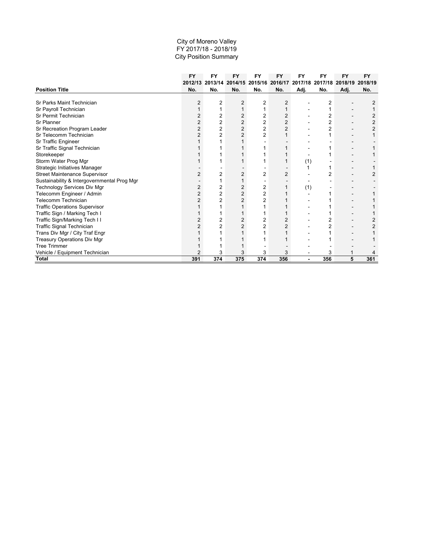|                                             | <b>FY</b> | <b>FY</b> | <b>FY</b>      | <b>FY</b>      | <b>FY</b>      | <b>FY</b> | <b>FY</b>      | <b>FY</b> | <b>FY</b> |
|---------------------------------------------|-----------|-----------|----------------|----------------|----------------|-----------|----------------|-----------|-----------|
|                                             | 2012/13   | 2013/14   | 2014/15        | 2015/16        | 2016/17        | 2017/18   | 2017/18        | 2018/19   | 2018/19   |
| <b>Position Title</b>                       | No.       | No.       | No.            | No.            | No.            | Adj.      | No.            | Adj.      | No.       |
|                                             |           |           |                |                |                |           |                |           |           |
| Sr Parks Maint Technician                   |           | 2         | 2              | 2              | 2              |           | 2              |           |           |
| Sr Payroll Technician                       |           |           |                | 1              |                |           |                |           |           |
| Sr Permit Technician                        |           | 2         | 2              | $\overline{2}$ | 2              |           | 2              |           |           |
| <b>Sr Planner</b>                           |           | 2         | 2              | 2              | 2              |           |                |           |           |
| Sr Recreation Program Leader                | 2         | 2         | $\overline{2}$ | $\overline{2}$ | $\overline{2}$ |           | $\overline{2}$ |           |           |
| Sr Telecomm Technician                      |           | 2         | $\overline{2}$ | 2              |                |           |                |           |           |
| Sr Traffic Engineer                         |           |           |                |                |                |           |                |           |           |
| Sr Traffic Signal Technician                |           |           |                |                |                |           |                |           |           |
| Storekeeper                                 |           |           |                |                |                |           |                |           |           |
| Storm Water Prog Mgr                        |           |           |                |                |                | (1)       |                |           |           |
| Strategic Initiatives Manager               |           |           |                |                |                |           |                |           |           |
| <b>Street Maintenance Supervisor</b>        |           | 2         | 2              | 2              | 2              |           |                |           |           |
| Sustainability & Intergovernmental Prog Mgr |           |           |                |                |                |           |                |           |           |
| Technology Services Div Mgr                 | 2         | 2         | $\overline{2}$ | 2              |                | (1)       |                |           |           |
| Telecomm Engineer / Admin                   | 2         | 2         | $\overline{2}$ | 2              |                |           |                |           |           |
| <b>Telecomm Technician</b>                  |           | 2         | $\overline{2}$ | 2              |                |           |                |           |           |
| <b>Traffic Operations Supervisor</b>        |           |           |                |                |                |           |                |           |           |
| Traffic Sign / Marking Tech I               |           |           |                |                |                |           |                |           |           |
| Traffic Sign/Marking Tech II                |           | 2         | $\overline{2}$ | 2              | $\overline{2}$ |           |                |           |           |
| Traffic Signal Technician                   |           |           | $\overline{2}$ | $\overline{2}$ |                |           |                |           |           |
| Trans Div Mgr / City Traf Engr              |           |           |                |                |                |           |                |           |           |
| Treasury Operations Div Mgr                 |           |           |                |                |                |           |                |           |           |
| <b>Tree Trimmer</b>                         |           |           |                |                |                |           |                |           |           |
| Vehicle / Equipment Technician              |           | 3         | 3              | 3              | 3              |           | 3              |           |           |
| <b>Total</b>                                | 391       | 374       | 375            | 374            | 356            |           | 356            | 5         | 361       |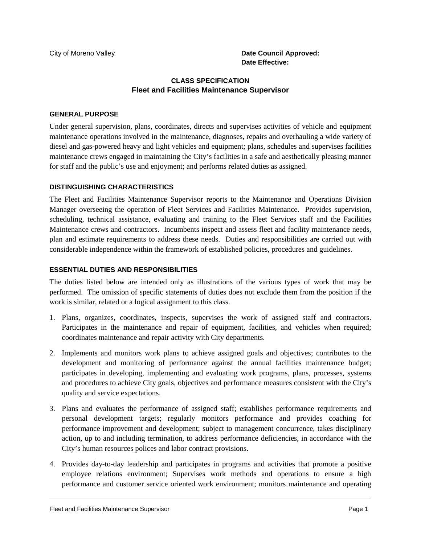## **CLASS SPECIFICATION Fleet and Facilities Maintenance Supervisor**

#### **GENERAL PURPOSE**

Under general supervision, plans, coordinates, directs and supervises activities of vehicle and equipment maintenance operations involved in the maintenance, diagnoses, repairs and overhauling a wide variety of diesel and gas-powered heavy and light vehicles and equipment; plans, schedules and supervises facilities maintenance crews engaged in maintaining the City's facilities in a safe and aesthetically pleasing manner for staff and the public's use and enjoyment; and performs related duties as assigned.

#### **DISTINGUISHING CHARACTERISTICS**

The Fleet and Facilities Maintenance Supervisor reports to the Maintenance and Operations Division Manager overseeing the operation of Fleet Services and Facilities Maintenance. Provides supervision, scheduling, technical assistance, evaluating and training to the Fleet Services staff and the Facilities Maintenance crews and contractors. Incumbents inspect and assess fleet and facility maintenance needs, plan and estimate requirements to address these needs. Duties and responsibilities are carried out with considerable independence within the framework of established policies, procedures and guidelines.

## **ESSENTIAL DUTIES AND RESPONSIBILITIES**

The duties listed below are intended only as illustrations of the various types of work that may be performed. The omission of specific statements of duties does not exclude them from the position if the work is similar, related or a logical assignment to this class.

- 1. Plans, organizes, coordinates, inspects, supervises the work of assigned staff and contractors. Participates in the maintenance and repair of equipment, facilities, and vehicles when required; coordinates maintenance and repair activity with City departments.
- 2. Implements and monitors work plans to achieve assigned goals and objectives; contributes to the development and monitoring of performance against the annual facilities maintenance budget; participates in developing, implementing and evaluating work programs, plans, processes, systems and procedures to achieve City goals, objectives and performance measures consistent with the City's quality and service expectations.
- 3. Plans and evaluates the performance of assigned staff; establishes performance requirements and personal development targets; regularly monitors performance and provides coaching for performance improvement and development; subject to management concurrence, takes disciplinary action, up to and including termination, to address performance deficiencies, in accordance with the City's human resources polices and labor contract provisions.
- 4. Provides day-to-day leadership and participates in programs and activities that promote a positive employee relations environment; Supervises work methods and operations to ensure a high performance and customer service oriented work environment; monitors maintenance and operating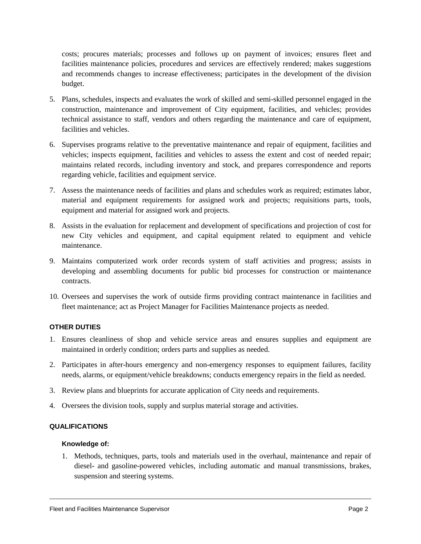costs; procures materials; processes and follows up on payment of invoices; ensures fleet and facilities maintenance policies, procedures and services are effectively rendered; makes suggestions and recommends changes to increase effectiveness; participates in the development of the division budget.

- 5. Plans, schedules, inspects and evaluates the work of skilled and semi-skilled personnel engaged in the construction, maintenance and improvement of City equipment, facilities, and vehicles; provides technical assistance to staff, vendors and others regarding the maintenance and care of equipment, facilities and vehicles.
- 6. Supervises programs relative to the preventative maintenance and repair of equipment, facilities and vehicles; inspects equipment, facilities and vehicles to assess the extent and cost of needed repair; maintains related records, including inventory and stock, and prepares correspondence and reports regarding vehicle, facilities and equipment service.
- 7. Assess the maintenance needs of facilities and plans and schedules work as required; estimates labor, material and equipment requirements for assigned work and projects; requisitions parts, tools, equipment and material for assigned work and projects.
- 8. Assists in the evaluation for replacement and development of specifications and projection of cost for new City vehicles and equipment, and capital equipment related to equipment and vehicle maintenance.
- 9. Maintains computerized work order records system of staff activities and progress; assists in developing and assembling documents for public bid processes for construction or maintenance contracts.
- 10. Oversees and supervises the work of outside firms providing contract maintenance in facilities and fleet maintenance; act as Project Manager for Facilities Maintenance projects as needed.

#### **OTHER DUTIES**

- 1. Ensures cleanliness of shop and vehicle service areas and ensures supplies and equipment are maintained in orderly condition; orders parts and supplies as needed.
- 2. Participates in after-hours emergency and non-emergency responses to equipment failures, facility needs, alarms, or equipment/vehicle breakdowns; conducts emergency repairs in the field as needed.
- 3. Review plans and blueprints for accurate application of City needs and requirements.
- 4. Oversees the division tools, supply and surplus material storage and activities.

#### **QUALIFICATIONS**

#### **Knowledge of:**

1. Methods, techniques, parts, tools and materials used in the overhaul, maintenance and repair of diesel- and gasoline-powered vehicles, including automatic and manual transmissions, brakes, suspension and steering systems.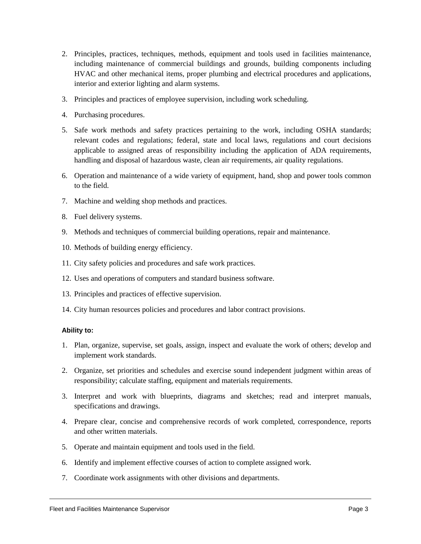- 2. Principles, practices, techniques, methods, equipment and tools used in facilities maintenance, including maintenance of commercial buildings and grounds, building components including HVAC and other mechanical items, proper plumbing and electrical procedures and applications, interior and exterior lighting and alarm systems.
- 3. Principles and practices of employee supervision, including work scheduling.
- 4. Purchasing procedures.
- 5. Safe work methods and safety practices pertaining to the work, including OSHA standards; relevant codes and regulations; federal, state and local laws, regulations and court decisions applicable to assigned areas of responsibility including the application of ADA requirements, handling and disposal of hazardous waste, clean air requirements, air quality regulations.
- 6. Operation and maintenance of a wide variety of equipment, hand, shop and power tools common to the field.
- 7. Machine and welding shop methods and practices.
- 8. Fuel delivery systems.
- 9. Methods and techniques of commercial building operations, repair and maintenance.
- 10. Methods of building energy efficiency.
- 11. City safety policies and procedures and safe work practices.
- 12. Uses and operations of computers and standard business software.
- 13. Principles and practices of effective supervision.
- 14. City human resources policies and procedures and labor contract provisions.

#### **Ability to:**

- 1. Plan, organize, supervise, set goals, assign, inspect and evaluate the work of others; develop and implement work standards.
- 2. Organize, set priorities and schedules and exercise sound independent judgment within areas of responsibility; calculate staffing, equipment and materials requirements.
- 3. Interpret and work with blueprints, diagrams and sketches; read and interpret manuals, specifications and drawings.
- 4. Prepare clear, concise and comprehensive records of work completed, correspondence, reports and other written materials.
- 5. Operate and maintain equipment and tools used in the field.
- 6. Identify and implement effective courses of action to complete assigned work.
- 7. Coordinate work assignments with other divisions and departments.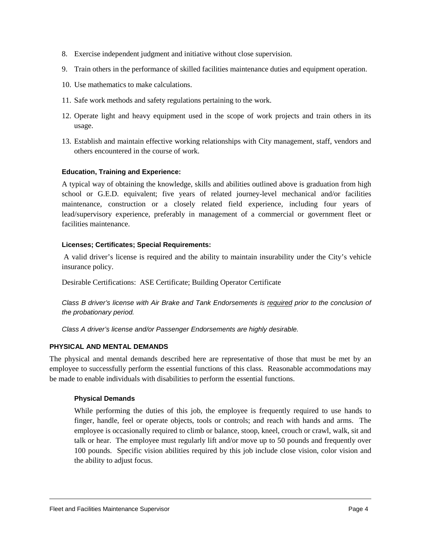- 8. Exercise independent judgment and initiative without close supervision.
- 9. Train others in the performance of skilled facilities maintenance duties and equipment operation.
- 10. Use mathematics to make calculations.
- 11. Safe work methods and safety regulations pertaining to the work.
- 12. Operate light and heavy equipment used in the scope of work projects and train others in its usage.
- 13. Establish and maintain effective working relationships with City management, staff, vendors and others encountered in the course of work.

#### **Education, Training and Experience:**

A typical way of obtaining the knowledge, skills and abilities outlined above is graduation from high school or G.E.D. equivalent; five years of related journey-level mechanical and/or facilities maintenance, construction or a closely related field experience, including four years of lead/supervisory experience, preferably in management of a commercial or government fleet or facilities maintenance.

#### **Licenses; Certificates; Special Requirements:**

A valid driver's license is required and the ability to maintain insurability under the City's vehicle insurance policy.

Desirable Certifications: ASE Certificate; Building Operator Certificate

*Class B driver's license with Air Brake and Tank Endorsements is required prior to the conclusion of the probationary period.* 

*Class A driver's license and/or Passenger Endorsements are highly desirable.*

#### **PHYSICAL AND MENTAL DEMANDS**

The physical and mental demands described here are representative of those that must be met by an employee to successfully perform the essential functions of this class. Reasonable accommodations may be made to enable individuals with disabilities to perform the essential functions.

#### **Physical Demands**

While performing the duties of this job, the employee is frequently required to use hands to finger, handle, feel or operate objects, tools or controls; and reach with hands and arms. The employee is occasionally required to climb or balance, stoop, kneel, crouch or crawl, walk, sit and talk or hear. The employee must regularly lift and/or move up to 50 pounds and frequently over 100 pounds. Specific vision abilities required by this job include close vision, color vision and the ability to adjust focus.